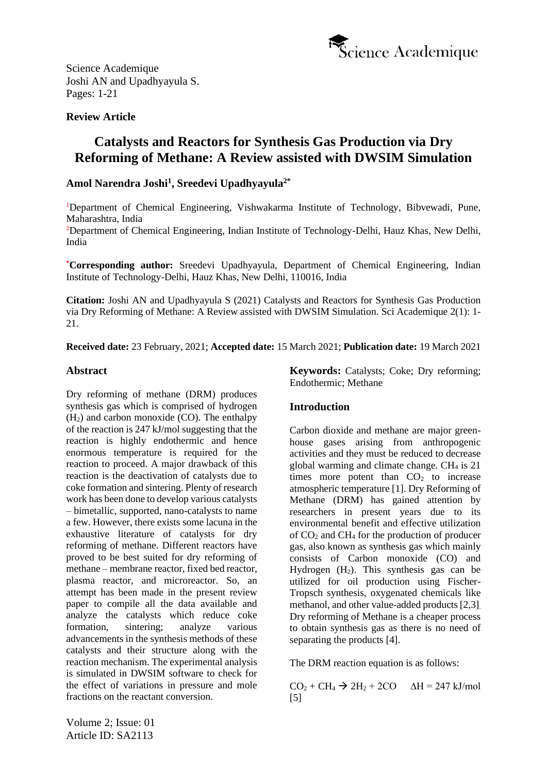

# **Review Article**

# **Catalysts and Reactors for Synthesis Gas Production via Dry Reforming of Methane: A Review assisted with DWSIM Simulation**

# **Amol Narendra Joshi<sup>1</sup> , Sreedevi Upadhyayula2\***

<sup>1</sup>Department of Chemical Engineering, Vishwakarma Institute of Technology, Bibvewadi, Pune, Maharashtra, India

<sup>2</sup>Department of Chemical Engineering, Indian Institute of Technology-Delhi, Hauz Khas, New Delhi, India

**\*Corresponding author:** Sreedevi Upadhyayula, Department of Chemical Engineering, Indian Institute of Technology-Delhi, Hauz Khas, New Delhi, 110016, India

**Citation:** Joshi AN and Upadhyayula S (2021) Catalysts and Reactors for Synthesis Gas Production via Dry Reforming of Methane: A Review assisted with DWSIM Simulation. Sci Academique 2(1): 1- 21.

**Received date:** 23 February, 2021; **Accepted date:** 15 March 2021; **Publication date:** 19 March 2021

# **Abstract**

Dry reforming of methane (DRM) produces synthesis gas which is comprised of hydrogen  $(H<sub>2</sub>)$  and carbon monoxide (CO). The enthalpy of the reaction is 247 kJ/mol suggesting that the reaction is highly endothermic and hence enormous temperature is required for the reaction to proceed. A major drawback of this reaction is the deactivation of catalysts due to coke formation and sintering. Plenty of research work has been done to develop various catalysts – bimetallic, supported, nano-catalysts to name a few. However, there exists some lacuna in the exhaustive literature of catalysts for dry reforming of methane. Different reactors have proved to be best suited for dry reforming of methane – membrane reactor, fixed bed reactor, plasma reactor, and microreactor. So, an attempt has been made in the present review paper to compile all the data available and analyze the catalysts which reduce coke formation, sintering; analyze various advancements in the synthesis methods of these catalysts and their structure along with the reaction mechanism. The experimental analysis is simulated in DWSIM software to check for the effect of variations in pressure and mole fractions on the reactant conversion.

**Keywords:** Catalysts; Coke; Dry reforming; Endothermic; Methane

# **Introduction**

Carbon dioxide and methane are major greenhouse gases arising from anthropogenic activities and they must be reduced to decrease global warming and climate change.  $CH<sub>4</sub>$  is 21 times more potent than  $CO<sub>2</sub>$  to increase atmospheric temperature [1]. Dry Reforming of Methane (DRM) has gained attention by researchers in present years due to its environmental benefit and effective utilization of  $CO<sub>2</sub>$  and  $CH<sub>4</sub>$  for the production of producer gas, also known as synthesis gas which mainly consists of Carbon monoxide (CO) and Hydrogen  $(H_2)$ . This synthesis gas can be utilized for oil production using Fischer-Tropsch synthesis, oxygenated chemicals like methanol, and other value-added products [2,3]. Dry reforming of Methane is a cheaper process to obtain synthesis gas as there is no need of separating the products [4].

The DRM reaction equation is as follows:

 $CO<sub>2</sub> + CH<sub>4</sub>$   $\rightarrow$  2H<sub>2</sub> + 2CO  $\Delta H = 247$  kJ/mol [5]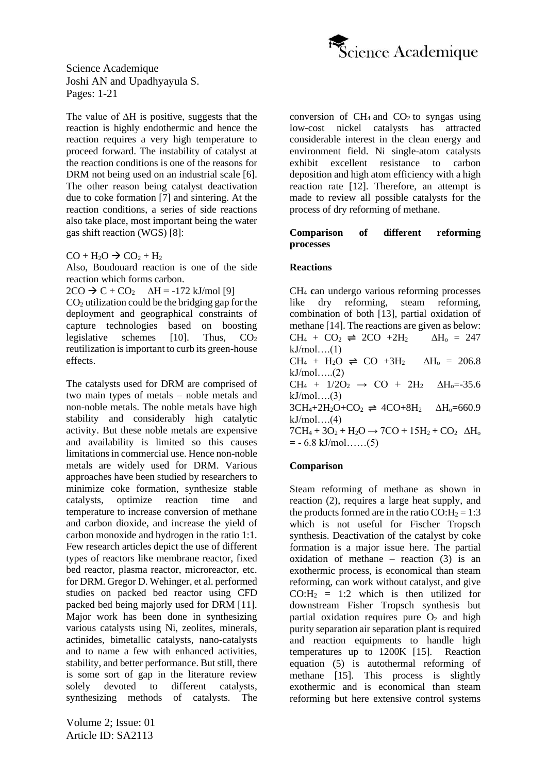

The value of ∆H is positive, suggests that the reaction is highly endothermic and hence the reaction requires a very high temperature to proceed forward. The instability of catalyst at the reaction conditions is one of the reasons for DRM not being used on an industrial scale [6]. The other reason being catalyst deactivation due to coke formation [7] and sintering. At the reaction conditions, a series of side reactions also take place, most important being the water gas shift reaction (WGS) [8]:

 $CO + H<sub>2</sub>O \rightarrow CO<sub>2</sub> + H<sub>2</sub>$ 

Also, Boudouard reaction is one of the side reaction which forms carbon.

 $2CO \rightarrow C + CO_2$   $\Delta H = -172$  kJ/mol [9]

 $CO<sub>2</sub>$  utilization could be the bridging gap for the deployment and geographical constraints of capture technologies based on boosting legislative schemes  $[10]$ . Thus,  $CO<sub>2</sub>$ reutilization is important to curb its green-house effects.

The catalysts used for DRM are comprised of two main types of metals – noble metals and non-noble metals. The noble metals have high stability and considerably high catalytic activity. But these noble metals are expensive and availability is limited so this causes limitations in commercial use. Hence non-noble metals are widely used for DRM. Various approaches have been studied by researchers to minimize coke formation, synthesize stable catalysts, optimize reaction time and temperature to increase conversion of methane and carbon dioxide, and increase the yield of carbon monoxide and hydrogen in the ratio 1:1. Few research articles depict the use of different types of reactors like membrane reactor, fixed bed reactor, plasma reactor, microreactor, etc. for DRM. Gregor D. Wehinger, et al. performed studies on packed bed reactor using CFD packed bed being majorly used for DRM [11]. Major work has been done in synthesizing various catalysts using Ni, zeolites, minerals, actinides, bimetallic catalysts, nano-catalysts and to name a few with enhanced activities, stability, and better performance. But still, there is some sort of gap in the literature review solely devoted to different catalysts, synthesizing methods of catalysts. The

Volume 2; Issue: 01 Article ID: SA2113

conversion of  $CH_4$  and  $CO_2$  to syngas using low-cost nickel catalysts has attracted considerable interest in the clean energy and environment field. Ni single-atom catalysts exhibit excellent resistance to carbon deposition and high atom efficiency with a high reaction rate [12]. Therefore, an attempt is made to review all possible catalysts for the process of dry reforming of methane.

#### **Comparison of different reforming processes**

### **Reactions**

CH<sup>4</sup> **c**an undergo various reforming processes like dry reforming, steam reforming, combination of both [13], partial oxidation of methane [14]. The reactions are given as below:  $CH_4 + CO_2 \rightleftharpoons 2CO +2H_2$   $\Delta H_0 = 247$  $kJ/mol$ ... $(1)$ CH<sub>4</sub> + H<sub>2</sub>O  $\rightleftharpoons$  CO +3H<sub>2</sub>  $\Delta$ H<sub>0</sub> = 206.8 kJ/mol…..(2)  $CH_4 + 1/2O_2 \rightarrow CO + 2H_2 \Delta H_0 = -35.6$  $kJ/mol....(3)$  $3CH_4+2H_2O+CO_2 \rightleftharpoons 4CO+8H_2$   $\Delta H_0=660.9$  $kJ/mol....(4)$  $7CH_4 + 3O_2 + H_2O \rightarrow 7CO + 15H_2 + CO_2$   $\Delta H_0$  $= -6.8$  kJ/mol……(5)

# **Comparison**

Steam reforming of methane as shown in reaction (2), requires a large heat supply, and the products formed are in the ratio  $CO:H_2 = 1:3$ which is not useful for Fischer Tropsch synthesis. Deactivation of the catalyst by coke formation is a major issue here. The partial oxidation of methane – reaction  $(3)$  is an exothermic process, is economical than steam reforming, can work without catalyst, and give  $CO:H_2 = 1:2$  which is then utilized for downstream Fisher Tropsch synthesis but partial oxidation requires pure  $O_2$  and high purity separation air separation plant is required and reaction equipments to handle high temperatures up to 1200K [15]. Reaction equation (5) is autothermal reforming of methane [15]. This process is slightly exothermic and is economical than steam reforming but here extensive control systems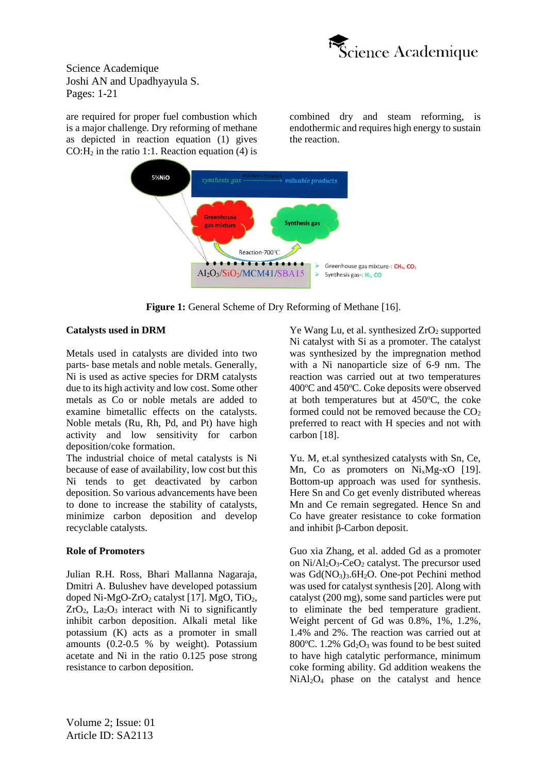

are required for proper fuel combustion which is a major challenge. Dry reforming of methane as depicted in reaction equation (1) gives  $CO:H<sub>2</sub>$  in the ratio 1:1. Reaction equation (4) is combined dry and steam reforming, is endothermic and requires high energy to sustain the reaction.



**Figure 1:** General Scheme of Dry Reforming of Methane [16].

### **Catalysts used in DRM**

Metals used in catalysts are divided into two parts- base metals and noble metals. Generally, Ni is used as active species for DRM catalysts due to its high activity and low cost. Some other metals as Co or noble metals are added to examine bimetallic effects on the catalysts. Noble metals (Ru, Rh, Pd, and Pt) have high activity and low sensitivity for carbon deposition/coke formation.

The industrial choice of metal catalysts is Ni because of ease of availability, low cost but this Ni tends to get deactivated by carbon deposition. So various advancements have been to done to increase the stability of catalysts, minimize carbon deposition and develop recyclable catalysts.

# **Role of Promoters**

Julian R.H. Ross, Bhari Mallanna Nagaraja, Dmitri A. Bulushev have developed potassium doped Ni-MgO-ZrO<sub>2</sub> catalyst [17]. MgO, TiO<sub>2</sub>,  $ZrO<sub>2</sub>$ , La<sub>2</sub>O<sub>3</sub> interact with Ni to significantly inhibit carbon deposition. Alkali metal like potassium (K) acts as a promoter in small amounts (0.2-0.5 % by weight). Potassium acetate and Ni in the ratio 0.125 pose strong resistance to carbon deposition.

Ye Wang Lu, et al. synthesized  $ZrO<sub>2</sub>$  supported Ni catalyst with Si as a promoter. The catalyst was synthesized by the impregnation method with a Ni nanoparticle size of 6-9 nm. The reaction was carried out at two temperatures  $400^{\circ}$ C and  $450^{\circ}$ C. Coke deposits were observed at both temperatures but at  $450^{\circ}$ C, the coke formed could not be removed because the  $CO<sub>2</sub>$ preferred to react with H species and not with carbon [18].

Yu. M, et.al synthesized catalysts with Sn, Ce, Mn, Co as promoters on Ni<sub>x</sub>Mg-xO [19]. Bottom-up approach was used for synthesis. Here Sn and Co get evenly distributed whereas Mn and Ce remain segregated. Hence Sn and Co have greater resistance to coke formation and inhibit β-Carbon deposit.

Guo xia Zhang, et al. added Gd as a promoter on  $Ni/Al<sub>2</sub>O<sub>3</sub>$ -CeO<sub>2</sub> catalyst. The precursor used was Gd(NO<sub>3</sub>)<sub>3</sub>.6H<sub>2</sub>O. One-pot Pechini method was used for catalyst synthesis [20]. Along with catalyst (200 mg), some sand particles were put to eliminate the bed temperature gradient. Weight percent of Gd was 0.8%, 1%, 1.2%, 1.4% and 2%. The reaction was carried out at 800 $^{\circ}$ C. 1.2% Gd<sub>2</sub>O<sub>3</sub> was found to be best suited to have high catalytic performance, minimum coke forming ability. Gd addition weakens the  $NiAl<sub>2</sub>O<sub>4</sub>$  phase on the catalyst and hence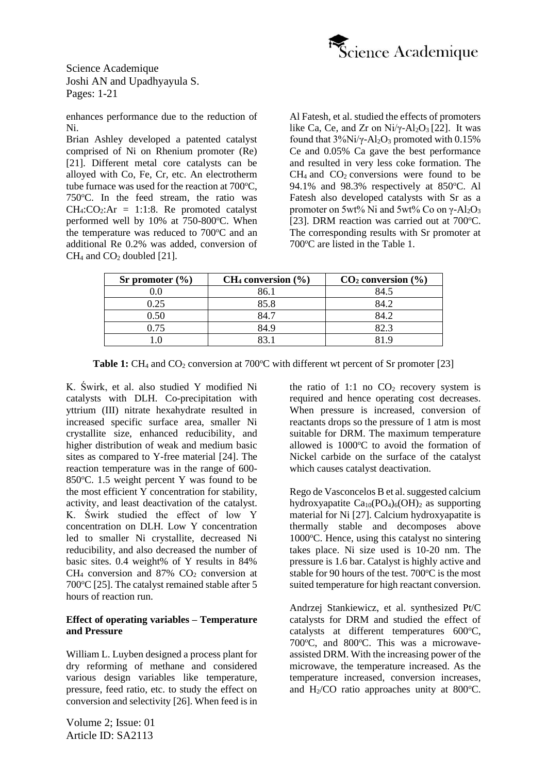

enhances performance due to the reduction of Ni.

Brian Ashley developed a patented catalyst comprised of Ni on Rhenium promoter (Re) [21]. Different metal core catalysts can be alloyed with Co, Fe, Cr, etc. An electrotherm tube furnace was used for the reaction at  $700^{\circ}$ C. 750 °C. In the feed stream, the ratio was  $CH_4:CO_2:Ar = 1:1:8$ . Re promoted catalyst performed well by  $10\%$  at 750-800 $^{\circ}$ C. When the temperature was reduced to  $700^{\circ}$ C and an additional Re 0.2% was added, conversion of  $CH<sub>4</sub>$  and  $CO<sub>2</sub>$  doubled [21].

Al Fatesh, et al. studied the effects of promoters like Ca, Ce, and Zr on  $Ni/\gamma$ -Al<sub>2</sub>O<sub>3</sub> [22]. It was found that  $3\%$ Ni/ $\gamma$ -Al<sub>2</sub>O<sub>3</sub> promoted with 0.15% Ce and 0.05% Ca gave the best performance and resulted in very less coke formation. The  $CH<sub>4</sub>$  and  $CO<sub>2</sub>$  conversions were found to be 94.1% and 98.3% respectively at  $850^{\circ}$ C. Al Fatesh also developed catalysts with Sr as a promoter on 5wt% Ni and 5wt% Co on  $\gamma$ -Al<sub>2</sub>O<sub>3</sub> [23]. DRM reaction was carried out at  $700^{\circ}$ C. The corresponding results with Sr promoter at 700 °C are listed in the Table 1.

| Sr promoter $(\% )$ | $CH_4$ conversion $(\% )$ | $CO2$ conversion $(\% )$ |  |
|---------------------|---------------------------|--------------------------|--|
|                     | 86.1                      | 84.5                     |  |
| 0.25                | 85.8                      | 84.2                     |  |
| 0.50                |                           | 84 2                     |  |
| 0.75                | 84.9                      | 82.3                     |  |
|                     |                           |                          |  |

**Table 1:**  $CH_4$  and  $CO_2$  conversion at 700 $^{\circ}$ C with different wt percent of Sr promoter [23]

K. Świrk, et al. also studied Y modified Ni catalysts with DLH. Co-precipitation with yttrium (III) nitrate hexahydrate resulted in increased specific surface area, smaller Ni crystallite size, enhanced reducibility, and higher distribution of weak and medium basic sites as compared to Y-free material [24]. The reaction temperature was in the range of 600- 850 $^{\circ}$ C. 1.5 weight percent Y was found to be the most efficient Y concentration for stability, activity, and least deactivation of the catalyst. K. Świrk studied the effect of low Y concentration on DLH. Low Y concentration led to smaller Ni crystallite, decreased Ni reducibility, and also decreased the number of basic sites. 0.4 weight% of Y results in 84%  $CH<sub>4</sub>$  conversion and 87%  $CO<sub>2</sub>$  conversion at  $700^{\circ}$ C [25]. The catalyst remained stable after 5 hours of reaction run.

### **Effect of operating variables – Temperature and Pressure**

William L. Luyben designed a process plant for dry reforming of methane and considered various design variables like temperature, pressure, feed ratio, etc. to study the effect on conversion and selectivity [26]. When feed is in

Volume 2; Issue: 01 Article ID: SA2113

the ratio of 1:1 no  $CO<sub>2</sub>$  recovery system is required and hence operating cost decreases. When pressure is increased, conversion of reactants drops so the pressure of 1 atm is most suitable for DRM. The maximum temperature allowed is  $1000^{\circ}$ C to avoid the formation of Nickel carbide on the surface of the catalyst which causes catalyst deactivation.

Rego de Vasconcelos B et al. suggested calcium hydroxyapatite  $Ca_{10}(PO_4)_6(OH)_2$  as supporting material for Ni [27]. Calcium hydroxyapatite is thermally stable and decomposes above  $1000\degree$ C. Hence, using this catalyst no sintering takes place. Ni size used is 10-20 nm. The pressure is 1.6 bar. Catalyst is highly active and stable for 90 hours of the test.  $700^{\circ}$ C is the most suited temperature for high reactant conversion.

Andrzej Stankiewicz, et al. synthesized Pt/C catalysts for DRM and studied the effect of catalysts at different temperatures  $600^{\circ}$ C, 700°C, and 800°C. This was a microwaveassisted DRM. With the increasing power of the microwave, the temperature increased. As the temperature increased, conversion increases, and  $H<sub>2</sub>/CO$  ratio approaches unity at 800 $^{\circ}$ C.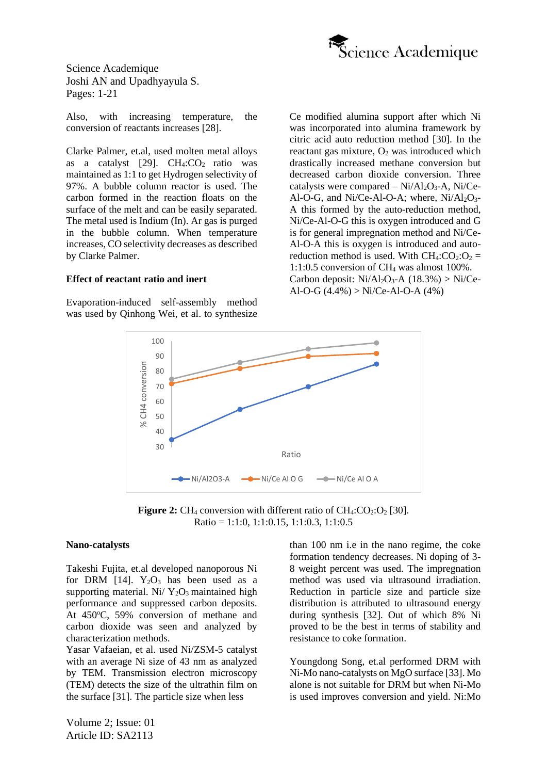

Also, with increasing temperature, the conversion of reactants increases [28].

Clarke Palmer, et.al, used molten metal alloys as a catalyst  $[29]$ . CH<sub>4</sub>:CO<sub>2</sub> ratio was maintained as 1:1 to get Hydrogen selectivity of 97%. A bubble column reactor is used. The carbon formed in the reaction floats on the surface of the melt and can be easily separated. The metal used is Indium (In). Ar gas is purged in the bubble column. When temperature increases, CO selectivity decreases as described by Clarke Palmer.

#### **Effect of reactant ratio and inert**

Evaporation-induced self-assembly method was used by Qinhong Wei, et al. to synthesize Ce modified alumina support after which Ni was incorporated into alumina framework by citric acid auto reduction method [30]. In the reactant gas mixture,  $O_2$  was introduced which drastically increased methane conversion but decreased carbon dioxide conversion. Three catalysts were compared  $- Ni/Al<sub>2</sub>O<sub>3</sub> - A$ , Ni/Ce-Al-O-G, and Ni/Ce-Al-O-A; where,  $Ni/Al<sub>2</sub>O<sub>3</sub>$ -A this formed by the auto-reduction method, Ni/Ce-Al-O-G this is oxygen introduced and G is for general impregnation method and Ni/Ce-Al-O-A this is oxygen is introduced and autoreduction method is used. With  $CH_4:CO_2:O_2 =$ 1:1:0.5 conversion of  $CH<sub>4</sub>$  was almost 100%. Carbon deposit:  $Ni/Al<sub>2</sub>O<sub>3</sub>-A$  (18.3%) > Ni/Ce-Al-O-G  $(4.4\%) > Ni/Ce-Al-O-A$   $(4\%)$ 



**Figure 2:** CH<sub>4</sub> conversion with different ratio of  $CH_4:CO_2:O_2$  [30]. Ratio = 1:1:0, 1:1:0.15, 1:1:0.3, 1:1:0.5

#### **Nano-catalysts**

Takeshi Fujita, et.al developed nanoporous Ni for DRM [14].  $Y_2O_3$  has been used as a supporting material. Ni/  $Y_2O_3$  maintained high performance and suppressed carbon deposits. At 450°C, 59% conversion of methane and carbon dioxide was seen and analyzed by characterization methods.

Yasar Vafaeian, et al. used Ni/ZSM-5 catalyst with an average Ni size of 43 nm as analyzed by TEM. Transmission electron microscopy (TEM) detects the size of the ultrathin film on the surface [31]. The particle size when less

than 100 nm i.e in the nano regime, the coke formation tendency decreases. Ni doping of 3- 8 weight percent was used. The impregnation method was used via ultrasound irradiation. Reduction in particle size and particle size distribution is attributed to ultrasound energy during synthesis [32]. Out of which 8% Ni proved to be the best in terms of stability and resistance to coke formation.

Youngdong Song, et.al performed DRM with Ni-Mo nano-catalysts on MgO surface [33]. Mo alone is not suitable for DRM but when Ni-Mo is used improves conversion and yield. Ni:Mo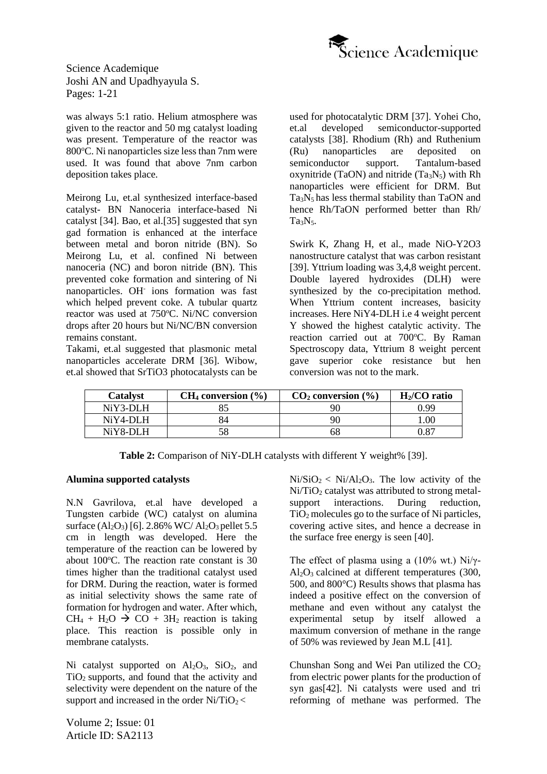

was always 5:1 ratio. Helium atmosphere was given to the reactor and 50 mg catalyst loading was present. Temperature of the reactor was  $800^{\circ}$ C. Ni nanoparticles size less than 7nm were used. It was found that above 7nm carbon deposition takes place.

Meirong Lu, et.al synthesized interface-based catalyst- BN Nanoceria interface-based Ni catalyst [34]. Bao, et al.[35] suggested that syn gad formation is enhanced at the interface between metal and boron nitride (BN). So Meirong Lu, et al. confined Ni between nanoceria (NC) and boron nitride (BN). This prevented coke formation and sintering of Ni nanoparticles. OH-ions formation was fast which helped prevent coke. A tubular quartz reactor was used at 750°C. Ni/NC conversion drops after 20 hours but Ni/NC/BN conversion remains constant.

Takami, et.al suggested that plasmonic metal nanoparticles accelerate DRM [36]. Wibow, et.al showed that SrTiO3 photocatalysts can be

used for photocatalytic DRM [37]. Yohei Cho, et.al developed semiconductor-supported catalysts [38]. Rhodium (Rh) and Ruthenium (Ru) nanoparticles are deposited on semiconductor support. Tantalum-based oxynitride (TaON) and nitride  $(Ta<sub>3</sub>N<sub>5</sub>)$  with Rh nanoparticles were efficient for DRM. But  $Ta_3N_5$  has less thermal stability than TaON and hence Rh/TaON performed better than Rh/ Ta<sub>3</sub>N<sub>5</sub>.

Swirk K, Zhang H, et al., made NiO-Y2O3 nanostructure catalyst that was carbon resistant [39]. Yttrium loading was 3,4,8 weight percent. Double layered hydroxides (DLH) were synthesized by the co-precipitation method. When Yttrium content increases, basicity increases. Here NiY4-DLH i.e 4 weight percent Y showed the highest catalytic activity. The reaction carried out at 700°C. By Raman Spectroscopy data, Yttrium 8 weight percent gave superior coke resistance but hen conversion was not to the mark.

| <b>Catalyst</b> | $CH_4$ conversion $(\% )$ | $CO2$ conversion $(\% )$ | $H2/CO$ ratio |
|-----------------|---------------------------|--------------------------|---------------|
| NiY3-DLH        |                           |                          | N 99          |
| $NiY4-DLH$      |                           |                          | .00.          |
| NiY8-DLH        |                           |                          | 0.87          |

**Table 2:** Comparison of NiY-DLH catalysts with different Y weight% [39].

#### **Alumina supported catalysts**

N.N Gavrilova, et.al have developed a Tungsten carbide (WC) catalyst on alumina surface  $(Al_2O_3)$  [6]. 2.86% WC/ $Al_2O_3$  pellet 5.5 cm in length was developed. Here the temperature of the reaction can be lowered by about  $100^{\circ}$ C. The reaction rate constant is 30 times higher than the traditional catalyst used for DRM. During the reaction, water is formed as initial selectivity shows the same rate of formation for hydrogen and water. After which,  $CH_4 + H_2O \rightarrow CO + 3H_2$  reaction is taking place. This reaction is possible only in membrane catalysts.

Ni catalyst supported on  $Al_2O_3$ ,  $SiO_2$ , and TiO<sup>2</sup> supports, and found that the activity and selectivity were dependent on the nature of the support and increased in the order  $Ni/TiO<sub>2</sub>$ 

Volume 2; Issue: 01 Article ID: SA2113

 $Ni/SiO<sub>2</sub> < Ni/Al<sub>2</sub>O<sub>3</sub>$ . The low activity of the  $Ni/TiO<sub>2</sub>$  catalyst was attributed to strong metalsupport interactions. During reduction,  $TiO<sub>2</sub>$  molecules go to the surface of Ni particles, covering active sites, and hence a decrease in the surface free energy is seen [40].

The effect of plasma using a (10% wt.) Ni/ $\gamma$ - $Al_2O_3$  calcined at different temperatures (300, 500, and 800°C) Results shows that plasma has indeed a positive effect on the conversion of methane and even without any catalyst the experimental setup by itself allowed a maximum conversion of methane in the range of 50% was reviewed by Jean M.L [41].

Chunshan Song and Wei Pan utilized the  $CO<sub>2</sub>$ from electric power plants for the production of syn gas[42]. Ni catalysts were used and tri reforming of methane was performed. The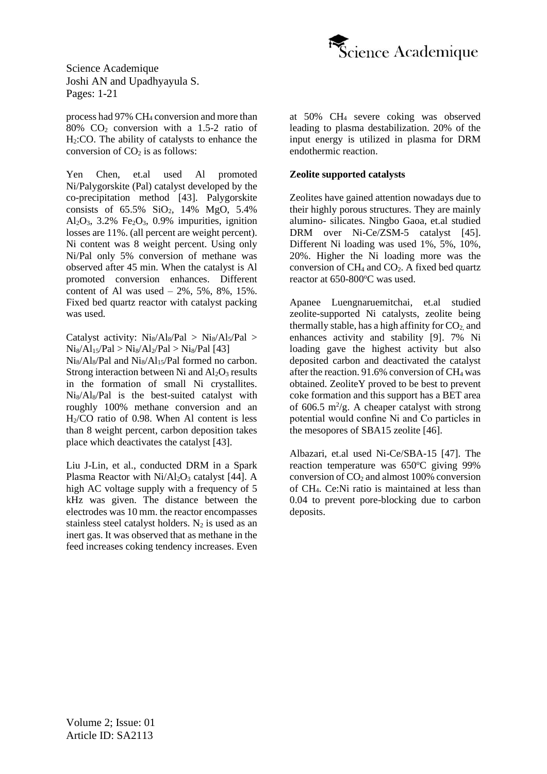

process had 97% CH<sup>4</sup> conversion and more than 80% CO<sub>2</sub> conversion with a 1.5-2 ratio of H2:CO. The ability of catalysts to enhance the conversion of  $CO<sub>2</sub>$  is as follows:

Yen Chen, et.al used Al promoted Ni/Palygorskite (Pal) catalyst developed by the co-precipitation method [43]. Palygorskite consists of 65.5% SiO2, 14% MgO, 5.4% Al<sub>2</sub>O<sub>3</sub>, 3.2% Fe<sub>2</sub>O<sub>3</sub>, 0.9% impurities, ignition losses are 11%. (all percent are weight percent). Ni content was 8 weight percent. Using only Ni/Pal only 5% conversion of methane was observed after 45 min. When the catalyst is Al promoted conversion enhances. Different content of Al was used  $-2\%$ , 5%, 8%, 15%. Fixed bed quartz reactor with catalyst packing was used.

Catalyst activity:  $Ni_8/Al_8/Pal > Ni_8/Al_5/Pal >$  $Ni_8/Al_15/Pal > Ni_8/Al_2/Pal > Ni_8/Pal$  [43]

 $N_{18}/Al_8/Pal$  and  $N_{18}/Al_{15}/Pal$  formed no carbon. Strong interaction between Ni and  $Al_2O_3$  results in the formation of small Ni crystallites. Ni8/Al8/Pal is the best-suited catalyst with roughly 100% methane conversion and an  $H<sub>2</sub>/CO$  ratio of 0.98. When Al content is less than 8 weight percent, carbon deposition takes place which deactivates the catalyst [43].

Liu J-Lin, et al., conducted DRM in a Spark Plasma Reactor with  $Ni/Al<sub>2</sub>O<sub>3</sub>$  catalyst [44]. A high AC voltage supply with a frequency of 5 kHz was given. The distance between the electrodes was 10 mm. the reactor encompasses stainless steel catalyst holders.  $N_2$  is used as an inert gas. It was observed that as methane in the feed increases coking tendency increases. Even at 50% CH<sup>4</sup> severe coking was observed leading to plasma destabilization. 20% of the input energy is utilized in plasma for DRM endothermic reaction.

#### **Zeolite supported catalysts**

Zeolites have gained attention nowadays due to their highly porous structures. They are mainly alumino- silicates. Ningbo Gaoa, et.al studied DRM over Ni-Ce/ZSM-5 catalyst [45]. Different Ni loading was used 1%, 5%, 10%, 20%. Higher the Ni loading more was the conversion of  $CH_4$  and  $CO_2$ . A fixed bed quartz reactor at  $650-800^{\circ}$ C was used.

Apanee Luengnaruemitchai, et.al studied zeolite-supported Ni catalysts, zeolite being thermally stable, has a high affinity for  $CO<sub>2</sub>$  and enhances activity and stability [9]. 7% Ni loading gave the highest activity but also deposited carbon and deactivated the catalyst after the reaction. 91.6% conversion of  $CH<sub>4</sub>$  was obtained. ZeoliteY proved to be best to prevent coke formation and this support has a BET area of 606.5  $m^2/g$ . A cheaper catalyst with strong potential would confine Ni and Co particles in the mesopores of SBA15 zeolite [46].

Albazari, et.al used Ni-Ce/SBA-15 [47]. The reaction temperature was  $650^{\circ}$ C giving 99% conversion of  $CO<sub>2</sub>$  and almost 100% conversion of CH4. Ce:Ni ratio is maintained at less than 0.04 to prevent pore-blocking due to carbon deposits.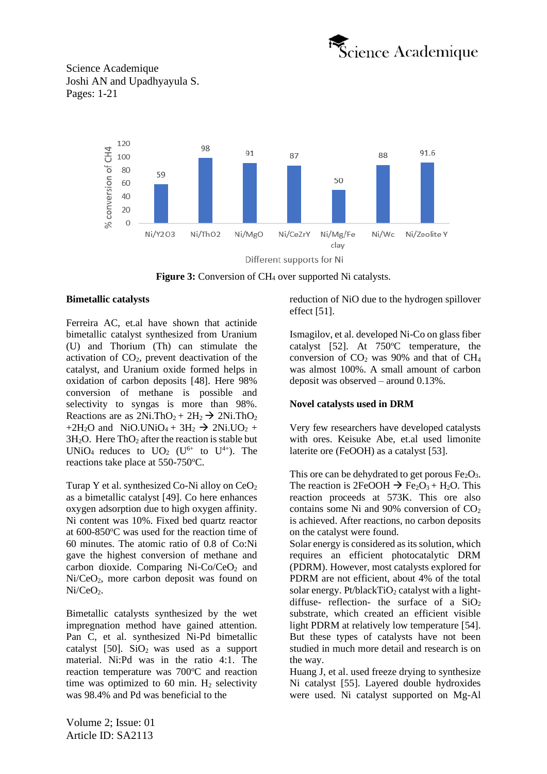



**Figure 3:** Conversion of CH<sub>4</sub> over supported Ni catalysts.

#### **Bimetallic catalysts**

Ferreira AC, et.al have shown that actinide bimetallic catalyst synthesized from Uranium (U) and Thorium (Th) can stimulate the activation of  $CO<sub>2</sub>$ , prevent deactivation of the catalyst, and Uranium oxide formed helps in oxidation of carbon deposits [48]. Here 98% conversion of methane is possible and selectivity to syngas is more than 98%. Reactions are as  $2Ni.ThO<sub>2</sub> + 2H<sub>2</sub> \rightarrow 2Ni.ThO<sub>2</sub>$ +2H<sub>2</sub>O and NiO.UNiO<sub>4</sub> + 3H<sub>2</sub>  $\rightarrow$  2Ni.UO<sub>2</sub> +  $3H<sub>2</sub>O$ . Here ThO<sub>2</sub> after the reaction is stable but UNiO<sub>4</sub> reduces to  $UO<sub>2</sub>$  (U<sup>6+</sup> to U<sup>4+</sup>). The reactions take place at 550-750 °C.

Turap Y et al. synthesized Co-Ni alloy on  $CeO<sub>2</sub>$ as a bimetallic catalyst [49]. Co here enhances oxygen adsorption due to high oxygen affinity. Ni content was 10%. Fixed bed quartz reactor at  $600-850$ °C was used for the reaction time of 60 minutes. The atomic ratio of 0.8 of Co:Ni gave the highest conversion of methane and carbon dioxide. Comparing  $Ni\text{-}Co/CeO<sub>2</sub>$  and Ni/CeO2, more carbon deposit was found on  $Ni/CeO<sub>2</sub>$ .

Bimetallic catalysts synthesized by the wet impregnation method have gained attention. Pan C, et al. synthesized Ni-Pd bimetallic catalyst  $[50]$ . SiO<sub>2</sub> was used as a support material. Ni:Pd was in the ratio 4:1. The reaction temperature was  $700^{\circ}$ C and reaction time was optimized to 60 min.  $H_2$  selectivity was 98.4% and Pd was beneficial to the

reduction of NiO due to the hydrogen spillover effect [51].

Ismagilov, et al. developed Ni-Co on glass fiber catalyst  $[52]$ . At  $750^{\circ}$ C temperature, the conversion of  $CO<sub>2</sub>$  was 90% and that of  $CH<sub>4</sub>$ was almost 100%. A small amount of carbon deposit was observed – around 0.13%.

# **Novel catalysts used in DRM**

Very few researchers have developed catalysts with ores. Keisuke Abe, et.al used limonite laterite ore (FeOOH) as a catalyst [53].

This ore can be dehydrated to get porous  $Fe<sub>2</sub>O<sub>3</sub>$ . The reaction is 2FeOOH  $\rightarrow$  Fe<sub>2</sub>O<sub>3</sub> + H<sub>2</sub>O. This reaction proceeds at 573K. This ore also contains some Ni and  $90\%$  conversion of  $CO<sub>2</sub>$ is achieved. After reactions, no carbon deposits on the catalyst were found.

Solar energy is considered as its solution, which requires an efficient photocatalytic DRM (PDRM). However, most catalysts explored for PDRM are not efficient, about 4% of the total solar energy. Pt/blackTiO<sub>2</sub> catalyst with a lightdiffuse- reflection- the surface of a  $SiO<sub>2</sub>$ substrate, which created an efficient visible light PDRM at relatively low temperature [54]. But these types of catalysts have not been studied in much more detail and research is on the way.

Huang J, et al. used freeze drying to synthesize Ni catalyst [55]. Layered double hydroxides were used. Ni catalyst supported on Mg-Al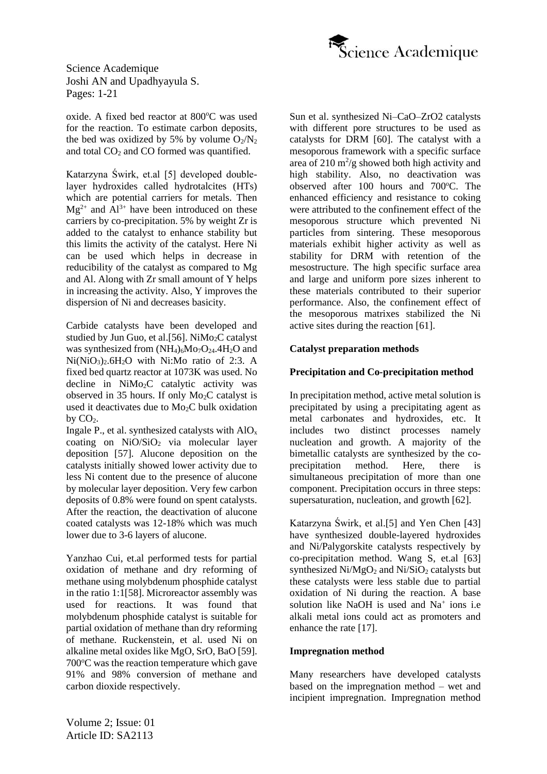

oxide. A fixed bed reactor at 800°C was used for the reaction. To estimate carbon deposits, the bed was oxidized by 5% by volume  $O_2/N_2$ and total CO<sub>2</sub> and CO formed was quantified.

Katarzyna Świrk, et.al [5] developed doublelayer hydroxides called hydrotalcites (HTs) which are potential carriers for metals. Then  $Mg^{2+}$  and  $Al^{3+}$  have been introduced on these carriers by co-precipitation. 5% by weight Zr is added to the catalyst to enhance stability but this limits the activity of the catalyst. Here Ni can be used which helps in decrease in reducibility of the catalyst as compared to Mg and Al. Along with Zr small amount of Y helps in increasing the activity. Also, Y improves the dispersion of Ni and decreases basicity.

Carbide catalysts have been developed and studied by Jun Guo, et al. [56]. NiMo<sub>2</sub>C catalyst was synthesized from  $(NH_4)_6M_2O_{24}.4H_2O$  and Ni(NiO3)2.6H2O with Ni:Mo ratio of 2:3. A fixed bed quartz reactor at 1073K was used. No decline in NiMo2C catalytic activity was observed in 35 hours. If only Mo2C catalyst is used it deactivates due to  $Mo<sub>2</sub>C$  bulk oxidation  $bv$   $CO<sub>2</sub>$ .

Ingale P., et al. synthesized catalysts with  $AIO<sub>x</sub>$ coating on NiO/SiO<sub>2</sub> via molecular layer deposition [57]. Alucone deposition on the catalysts initially showed lower activity due to less Ni content due to the presence of alucone by molecular layer deposition. Very few carbon deposits of 0.8% were found on spent catalysts. After the reaction, the deactivation of alucone coated catalysts was 12-18% which was much lower due to 3-6 layers of alucone.

Yanzhao Cui, et.al performed tests for partial oxidation of methane and dry reforming of methane using molybdenum phosphide catalyst in the ratio 1:1[58]. Microreactor assembly was used for reactions. It was found that molybdenum phosphide catalyst is suitable for partial oxidation of methane than dry reforming of methane. Ruckenstein, et al. used Ni on alkaline metal oxides like MgO, SrO, BaO [59].  $700^{\circ}$ C was the reaction temperature which gave 91% and 98% conversion of methane and carbon dioxide respectively.

Sun et al. synthesized Ni–CaO–ZrO2 catalysts with different pore structures to be used as catalysts for DRM [60]. The catalyst with a mesoporous framework with a specific surface area of  $210 \text{ m}^2\text{/g}$  showed both high activity and high stability. Also, no deactivation was observed after  $100$  hours and  $700^{\circ}$ C. The enhanced efficiency and resistance to coking were attributed to the confinement effect of the mesoporous structure which prevented Ni particles from sintering. These mesoporous materials exhibit higher activity as well as stability for DRM with retention of the mesostructure. The high specific surface area and large and uniform pore sizes inherent to these materials contributed to their superior performance. Also, the confinement effect of the mesoporous matrixes stabilized the Ni active sites during the reaction [61].

### **Catalyst preparation methods**

### **Precipitation and Co-precipitation method**

In precipitation method, active metal solution is precipitated by using a precipitating agent as metal carbonates and hydroxides, etc. It includes two distinct processes namely nucleation and growth. A majority of the bimetallic catalysts are synthesized by the coprecipitation method. Here, there is simultaneous precipitation of more than one component. Precipitation occurs in three steps: supersaturation, nucleation, and growth [62].

Katarzyna Świrk, et al.[5] and Yen Chen [43] have synthesized double-layered hydroxides and Ni/Palygorskite catalysts respectively by co-precipitation method. Wang S, et.al [63] synthesized  $Ni/MgO<sub>2</sub>$  and  $Ni/SiO<sub>2</sub>$  catalysts but these catalysts were less stable due to partial oxidation of Ni during the reaction. A base solution like NaOH is used and Na<sup>+</sup> ions i.e alkali metal ions could act as promoters and enhance the rate [17].

#### **Impregnation method**

Many researchers have developed catalysts based on the impregnation method – wet and incipient impregnation. Impregnation method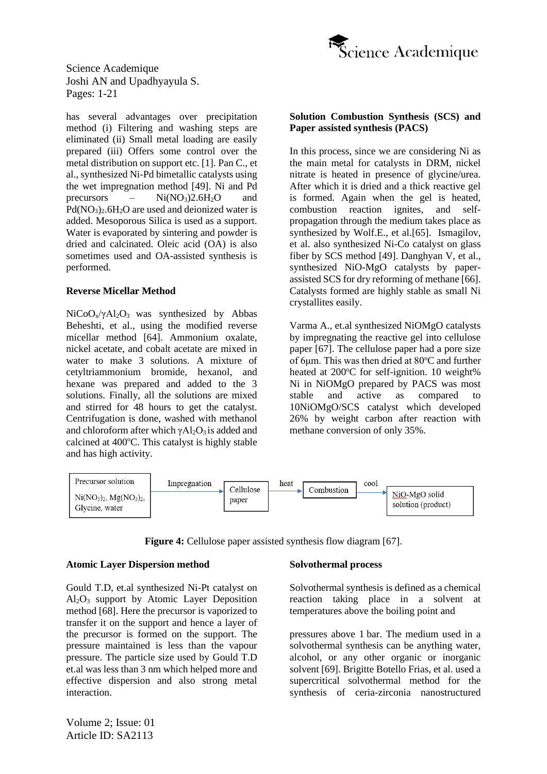

has several advantages over precipitation method (i) Filtering and washing steps are eliminated (ii) Small metal loading are easily prepared (iii) Offers some control over the metal distribution on support etc. [1]. Pan C., et al., synthesized Ni-Pd bimetallic catalysts using the wet impregnation method [49]. Ni and Pd precursors –  $Ni(NO<sub>3</sub>)2.6H<sub>2</sub>O$  and  $Pd(NO_3)$ <sub>2</sub>.6H<sub>2</sub>O are used and deionized water is added. Mesoporous Silica is used as a support. Water is evaporated by sintering and powder is dried and calcinated. Oleic acid (OA) is also sometimes used and OA-assisted synthesis is performed.

#### **Reverse Micellar Method**

 $NiCoO<sub>x</sub>/\gamma Al<sub>2</sub>O<sub>3</sub>$  was synthesized by Abbas Beheshti, et al., using the modified reverse micellar method [64]. Ammonium oxalate, nickel acetate, and cobalt acetate are mixed in water to make 3 solutions. A mixture of cetyltriammonium bromide, hexanol, and hexane was prepared and added to the 3 solutions. Finally, all the solutions are mixed and stirred for 48 hours to get the catalyst. Centrifugation is done, washed with methanol and chloroform after which  $vA_2O_3$  is added and calcined at  $400^{\circ}$ C. This catalyst is highly stable and has high activity.

#### **Solution Combustion Synthesis (SCS) and Paper assisted synthesis (PACS)**

In this process, since we are considering Ni as the main metal for catalysts in DRM, nickel nitrate is heated in presence of glycine/urea. After which it is dried and a thick reactive gel is formed. Again when the gel is heated, combustion reaction ignites, and selfpropagation through the medium takes place as synthesized by Wolf.E., et al.[65]. Ismagilov, et al. also synthesized Ni-Co catalyst on glass fiber by SCS method [49]. Danghyan V, et al., synthesized NiO-MgO catalysts by paperassisted SCS for dry reforming of methane [66]. Catalysts formed are highly stable as small Ni crystallites easily.

Varma A., et.al synthesized NiOMgO catalysts by impregnating the reactive gel into cellulose paper [67]. The cellulose paper had a pore size of 6μm. This was then dried at  $80^{\circ}$ C and further heated at  $200^{\circ}$ C for self-ignition. 10 weight% Ni in NiOMgO prepared by PACS was most stable and active as compared to 10NiOMgO/SCS catalyst which developed 26% by weight carbon after reaction with methane conversion of only 35%.



**Figure 4:** Cellulose paper assisted synthesis flow diagram [67].

#### **Atomic Layer Dispersion method**

Gould T.D, et.al synthesized Ni-Pt catalyst on  $Al_2O_3$  support by Atomic Layer Deposition method [68]. Here the precursor is vaporized to transfer it on the support and hence a layer of the precursor is formed on the support. The pressure maintained is less than the vapour pressure. The particle size used by Gould T.D et.al was less than 3 nm which helped more and effective dispersion and also strong metal interaction.

#### **Solvothermal process**

Solvothermal synthesis is defined as a chemical reaction taking place in a solvent at temperatures above the boiling point and

pressures above 1 bar. The medium used in a solvothermal synthesis can be anything water, alcohol, or any other organic or inorganic solvent [69]. Brigitte Botello Frias, et al. used a supercritical solvothermal method for the synthesis of ceria-zirconia nanostructured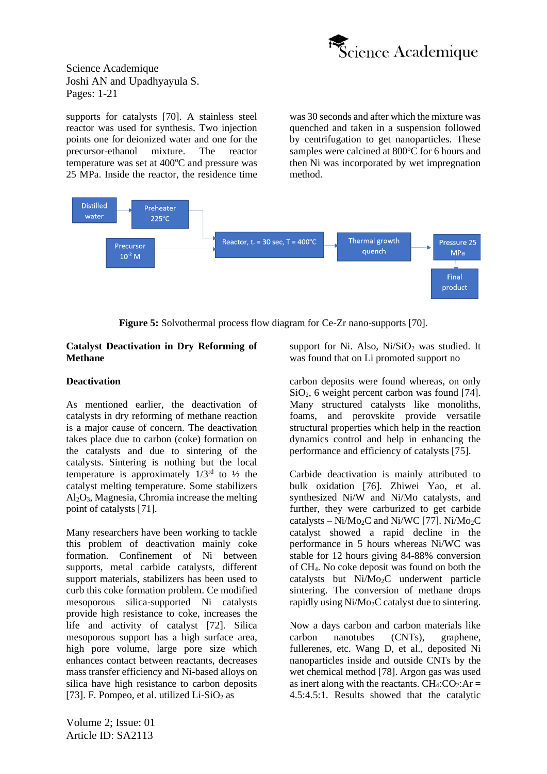

supports for catalysts [70]. A stainless steel reactor was used for synthesis. Two injection points one for deionized water and one for the precursor-ethanol mixture. The reactor temperature was set at  $400^{\circ}$ C and pressure was 25 MPa. Inside the reactor, the residence time was 30 seconds and after which the mixture was quenched and taken in a suspension followed by centrifugation to get nanoparticles. These samples were calcined at  $800^{\circ}$ C for 6 hours and then Ni was incorporated by wet impregnation method.



**Figure 5:** Solvothermal process flow diagram for Ce-Zr nano-supports [70].

#### **Catalyst Deactivation in Dry Reforming of Methane**

# **Deactivation**

As mentioned earlier, the deactivation of catalysts in dry reforming of methane reaction is a major cause of concern. The deactivation takes place due to carbon (coke) formation on the catalysts and due to sintering of the catalysts. Sintering is nothing but the local temperature is approximately  $1/3^{rd}$  to  $\frac{1}{2}$  the catalyst melting temperature. Some stabilizers  $Al_2O_3$ , Magnesia, Chromia increase the melting point of catalysts [71].

Many researchers have been working to tackle this problem of deactivation mainly coke formation. Confinement of Ni between supports, metal carbide catalysts, different support materials, stabilizers has been used to curb this coke formation problem. Ce modified mesoporous silica-supported Ni catalysts provide high resistance to coke, increases the life and activity of catalyst [72]. Silica mesoporous support has a high surface area, high pore volume, large pore size which enhances contact between reactants, decreases mass transfer efficiency and Ni-based alloys on silica have high resistance to carbon deposits [73]. F. Pompeo, et al. utilized  $Li-SiO<sub>2</sub>$  as

support for Ni. Also,  $Ni/SiO<sub>2</sub>$  was studied. It was found that on Li promoted support no

carbon deposits were found whereas, on only  $SiO<sub>2</sub>$ , 6 weight percent carbon was found [74]. Many structured catalysts like monoliths, foams, and perovskite provide versatile structural properties which help in the reaction dynamics control and help in enhancing the performance and efficiency of catalysts [75].

Carbide deactivation is mainly attributed to bulk oxidation [76]. Zhiwei Yao, et al. synthesized Ni/W and Ni/Mo catalysts, and further, they were carburized to get carbide catalysts – Ni/Mo<sub>2</sub>C and Ni/WC [77]. Ni/Mo<sub>2</sub>C catalyst showed a rapid decline in the performance in 5 hours whereas Ni/WC was stable for 12 hours giving 84-88% conversion of CH4. No coke deposit was found on both the catalysts but Ni/Mo2C underwent particle sintering. The conversion of methane drops rapidly using Ni/Mo<sub>2</sub>C catalyst due to sintering.

Now a days carbon and carbon materials like carbon nanotubes (CNTs), graphene, fullerenes, etc. Wang D, et al., deposited Ni nanoparticles inside and outside CNTs by the wet chemical method [78]. Argon gas was used as inert along with the reactants.  $CH_4:CO_2:Ar =$ 4.5:4.5:1. Results showed that the catalytic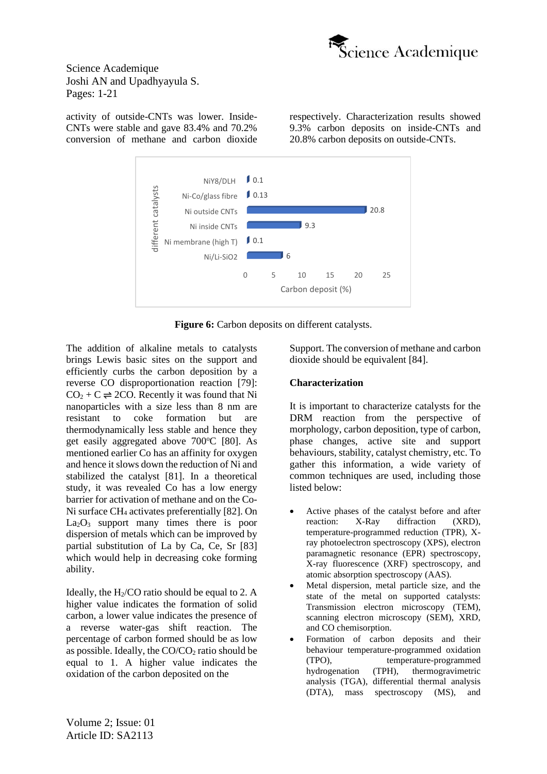

activity of outside-CNTs was lower. Inside-CNTs were stable and gave 83.4% and 70.2% conversion of methane and carbon dioxide respectively. Characterization results showed 9.3% carbon deposits on inside-CNTs and 20.8% carbon deposits on outside-CNTs.



**Figure 6:** Carbon deposits on different catalysts.

The addition of alkaline metals to catalysts brings Lewis basic sites on the support and efficiently curbs the carbon deposition by a reverse CO disproportionation reaction [79]:  $CO<sub>2</sub> + C \rightleftharpoons 2CO$ . Recently it was found that Ni nanoparticles with a size less than 8 nm are resistant to coke formation but are thermodynamically less stable and hence they get easily aggregated above  $700^{\circ}$ C [80]. As mentioned earlier Co has an affinity for oxygen and hence it slows down the reduction of Ni and stabilized the catalyst [81]. In a theoretical study, it was revealed Co has a low energy barrier for activation of methane and on the Co-Ni surface CH<sup>4</sup> activates preferentially [82]. On  $La<sub>2</sub>O<sub>3</sub>$  support many times there is poor dispersion of metals which can be improved by partial substitution of La by Ca, Ce, Sr [83] which would help in decreasing coke forming ability.

Ideally, the  $H<sub>2</sub>/CO$  ratio should be equal to 2. A higher value indicates the formation of solid carbon, a lower value indicates the presence of a reverse water-gas shift reaction. The percentage of carbon formed should be as low as possible. Ideally, the  $CO/CO<sub>2</sub>$  ratio should be equal to 1. A higher value indicates the oxidation of the carbon deposited on the

Support. The conversion of methane and carbon dioxide should be equivalent [84].

# **Characterization**

It is important to characterize catalysts for the DRM reaction from the perspective of morphology, carbon deposition, type of carbon, phase changes, active site and support behaviours, stability, catalyst chemistry, etc. To gather this information, a wide variety of common techniques are used, including those listed below:

- Active phases of the catalyst before and after reaction: X-Ray diffraction (XRD), temperature-programmed reduction (TPR), Xray photoelectron spectroscopy (XPS), electron paramagnetic resonance (EPR) spectroscopy, X-ray fluorescence (XRF) spectroscopy, and atomic absorption spectroscopy (AAS).
- Metal dispersion, metal particle size, and the state of the metal on supported catalysts: Transmission electron microscopy (TEM), scanning electron microscopy (SEM), XRD, and CO chemisorption.
- Formation of carbon deposits and their behaviour temperature-programmed oxidation (TPO), temperature-programmed hydrogenation (TPH), thermogravimetric analysis (TGA), differential thermal analysis (DTA), mass spectroscopy (MS), and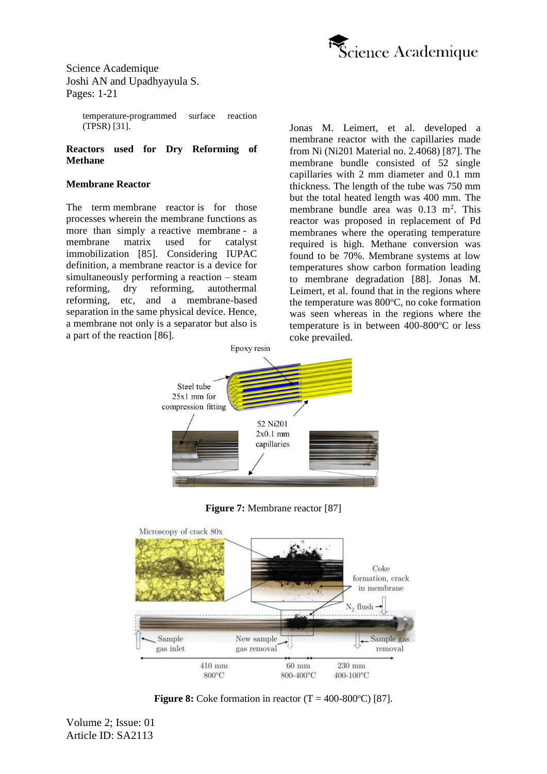

> temperature-programmed surface reaction (TPSR) [31].

**Reactors used for Dry Reforming of Methane**

#### **Membrane Reactor**

The term membrane reactor is for those processes wherein the membrane functions as more than simply a reactive membrane - a membrane matrix used for catalyst immobilization [85]. Considering IUPAC definition, a membrane reactor is a device for simultaneously performing a reaction – steam reforming, dry reforming, autothermal reforming, etc, and a membrane-based separation in the same physical device. Hence, a membrane not only is a separator but also is a part of the reaction [86].

Jonas M. Leimert, et al. developed a membrane reactor with the capillaries made from Ni (Ni201 Material no. 2.4068) [87]. The membrane bundle consisted of 52 single capillaries with 2 mm diameter and 0.1 mm thickness. The length of the tube was 750 mm but the total heated length was 400 mm. The membrane bundle area was 0.13 m<sup>2</sup>. This reactor was proposed in replacement of Pd membranes where the operating temperature required is high. Methane conversion was found to be 70%. Membrane systems at low temperatures show carbon formation leading to membrane degradation [88]. Jonas M. Leimert, et al. found that in the regions where the temperature was  $800^{\circ}$ C, no coke formation was seen whereas in the regions where the temperature is in between  $400-800^{\circ}$ C or less coke prevailed.



**Figure 7:** Membrane reactor [87]



**Figure 8:** Coke formation in reactor  $(T = 400-800^{\circ}C)$  [87].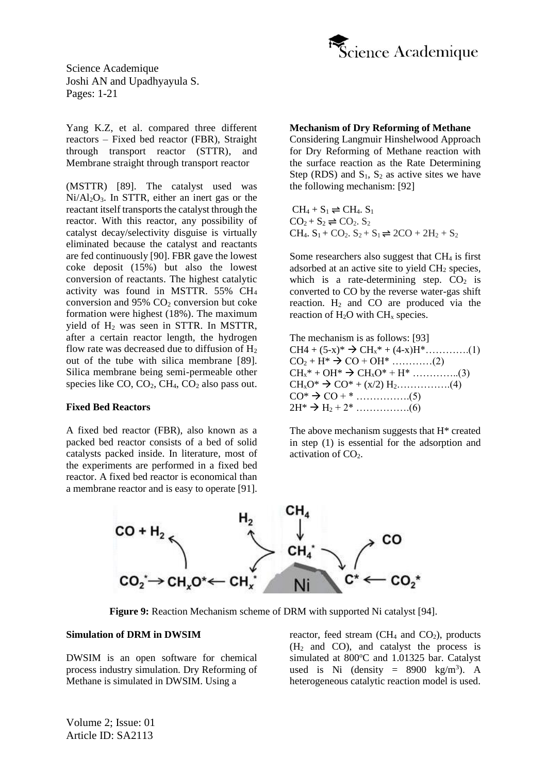

Yang K.Z, et al. compared three different reactors – Fixed bed reactor (FBR), Straight through transport reactor (STTR), and Membrane straight through transport reactor

(MSTTR) [89]. The catalyst used was  $Ni/Al<sub>2</sub>O<sub>3</sub>$ . In STTR, either an inert gas or the reactant itself transports the catalyst through the reactor. With this reactor, any possibility of catalyst decay/selectivity disguise is virtually eliminated because the catalyst and reactants are fed continuously [90]. FBR gave the lowest coke deposit (15%) but also the lowest conversion of reactants. The highest catalytic activity was found in MSTTR. 55% CH<sup>4</sup> conversion and  $95\%$  CO<sub>2</sub> conversion but coke formation were highest (18%). The maximum yield of H<sup>2</sup> was seen in STTR. In MSTTR, after a certain reactor length, the hydrogen flow rate was decreased due to diffusion of  $H_2$ out of the tube with silica membrane [89]. Silica membrane being semi-permeable other species like  $CO$ ,  $CO<sub>2</sub>$ ,  $CH<sub>4</sub>$ ,  $CO<sub>2</sub>$  also pass out.

#### **Fixed Bed Reactors**

A fixed bed reactor (FBR), also known as a packed bed reactor consists of a bed of solid catalysts packed inside. In literature, most of the experiments are performed in a fixed bed reactor. A fixed bed reactor is economical than a membrane reactor and is easy to operate [91].

#### **Mechanism of Dry Reforming of Methane**

Considering Langmuir Hinshelwood Approach for Dry Reforming of Methane reaction with the surface reaction as the Rate Determining Step (RDS) and  $S_1$ ,  $S_2$  as active sites we have the following mechanism: [92]

 $CH_4 + S_1 \rightleftharpoons CH_4$ .  $S_1$  $CO<sub>2</sub> + S<sub>2</sub> \rightleftharpoons CO<sub>2</sub>$ . S<sub>2</sub> CH<sub>4</sub>.  $S_1$  + CO<sub>2</sub>.  $S_2$  +  $S_1$   $\rightleftharpoons$  2CO + 2H<sub>2</sub> +  $S_2$ 

Some researchers also suggest that  $CH<sub>4</sub>$  is first adsorbed at an active site to yield  $CH<sub>2</sub>$  species, which is a rate-determining step.  $CO<sub>2</sub>$  is converted to CO by the reverse water-gas shift reaction.  $H_2$  and CO are produced via the reaction of  $H_2O$  with  $CH_x$  species.

The mechanism is as follows: [93]  $CH4 + (5-x)* \rightarrow CH_x* + (4-x)H^*$ …………..(1)  $CO_2 + H^* \rightarrow CO + OH^*$  …………(2)  $CH_x^* + OH^* \to CH_xO^* + H^*$  …………….(3)  $CH_xO^* \to CO^* + (x/2) H_2$ ……………..(4)  $CO^* \to CO + *$  ……………...(5) 2H\* → H<sup>2</sup> + 2\* …………….(6)

The above mechanism suggests that H\* created in step (1) is essential for the adsorption and activation of  $CO<sub>2</sub>$ .



**Figure 9:** Reaction Mechanism scheme of DRM with supported Ni catalyst [94].

#### **Simulation of DRM in DWSIM**

DWSIM is an open software for chemical process industry simulation. Dry Reforming of Methane is simulated in DWSIM. Using a

reactor, feed stream ( $CH<sub>4</sub>$  and  $CO<sub>2</sub>$ ), products  $(H<sub>2</sub>$  and CO), and catalyst the process is simulated at 800°C and 1.01325 bar. Catalyst used is Ni (density =  $8900 \text{ kg/m}^3$ ). A heterogeneous catalytic reaction model is used.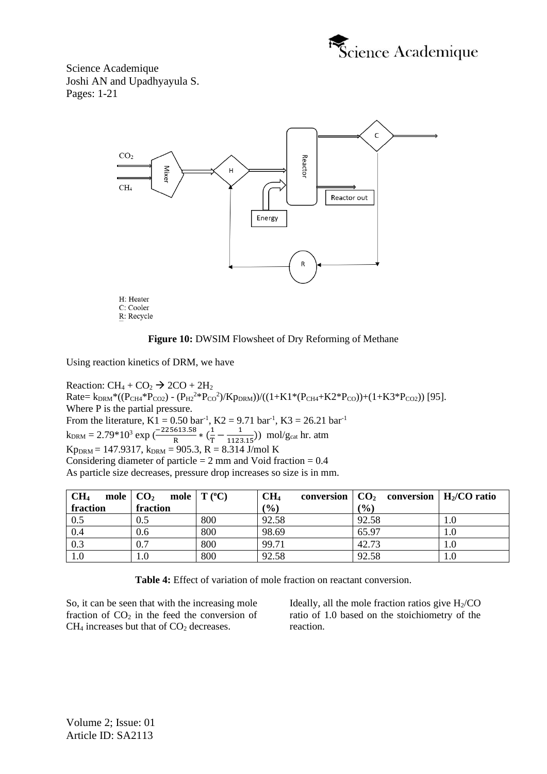





Using reaction kinetics of DRM, we have

Reaction:  $CH_4 + CO_2 \rightarrow 2CO + 2H_2$ Rate=  $k_{DRM}^*((P_{CH4}^*P_{CO2}) - (P_{H2}^{2*}P_{CO}^2)/Kp_{DRM}))/((1+K1^*(P_{CH4}+K2^*P_{CO}))+ (1+K3^*P_{CO2}))$  [95]. Where P is the partial pressure. From the literature,  $K1 = 0.50$  bar<sup>-1</sup>,  $K2 = 9.71$  bar<sup>-1</sup>,  $K3 = 26.21$  bar<sup>-1</sup>  $k_{DRM} = 2.79*10^3 \exp \left( \frac{-225613.58}{R} * \left( \frac{1}{T} \right) \right)$  $\frac{1}{T} - \frac{1}{1123}$  $\frac{1}{1123.15}$ ) mol/g<sub>cat</sub> hr. atm  $Kp_{DRM} = 147.9317$ ,  $k_{DRM} = 905.3$ ,  $R = 8.314$  J/mol K Considering diameter of particle  $= 2$  mm and Void fraction  $= 0.4$ As particle size decreases, pressure drop increases so size is in mm.

| CH <sub>4</sub><br>mole $\overline{C_2}$ |          | mole $\mid T (^{\circ}C) \mid$ | CH <sub>4</sub> | conversion $\vert$ CO <sub>2</sub> conversion $\vert$ H <sub>2</sub> /CO ratio |         |
|------------------------------------------|----------|--------------------------------|-----------------|--------------------------------------------------------------------------------|---------|
| fraction                                 | fraction |                                | (%)             | (%)                                                                            |         |
| 0.5                                      | 0.5      | 800                            | 92.58           | 92.58                                                                          | 1.0     |
| 0.4                                      | 0.6      | 800                            | 98.69           | 65.97                                                                          | 1.0     |
| 0.3                                      | 0.7      | 800                            | 99.71           | 42.73                                                                          | 1.0     |
| 1.0                                      | $1.0\,$  | 800                            | 92.58           | 92.58                                                                          | $1.0\,$ |

**Table 4:** Effect of variation of mole fraction on reactant conversion.

So, it can be seen that with the increasing mole fraction of  $CO<sub>2</sub>$  in the feed the conversion of  $CH<sub>4</sub>$  increases but that of  $CO<sub>2</sub>$  decreases.

Ideally, all the mole fraction ratios give  $H<sub>2</sub>/CO$ ratio of 1.0 based on the stoichiometry of the reaction.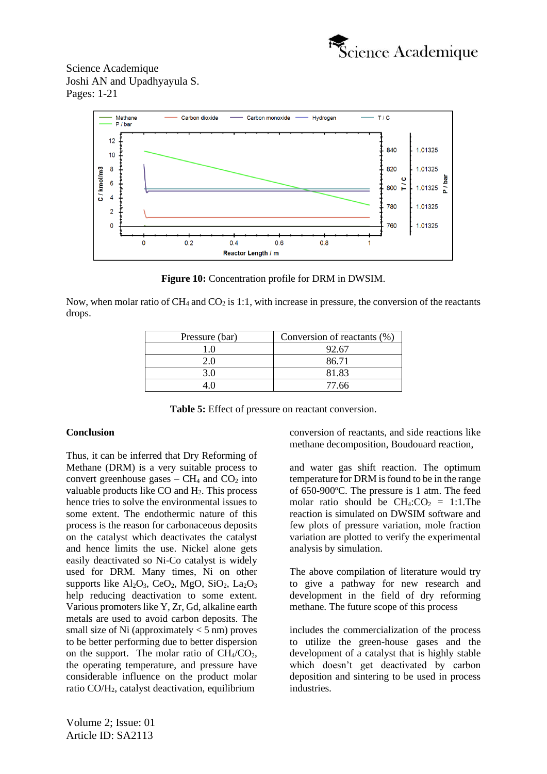



**Figure 10:** Concentration profile for DRM in DWSIM.

Now, when molar ratio of  $CH_4$  and  $CO_2$  is 1:1, with increase in pressure, the conversion of the reactants drops.

| Pressure (bar) | Conversion of reactants (%) |
|----------------|-----------------------------|
|                | 92.67                       |
| 2 O            | 86.71                       |
| 30             | 81.83                       |
|                | 77.66                       |

**Table 5:** Effect of pressure on reactant conversion.

#### **Conclusion**

Thus, it can be inferred that Dry Reforming of Methane (DRM) is a very suitable process to convert greenhouse gases –  $CH_4$  and  $CO_2$  into valuable products like  $CO$  and  $H<sub>2</sub>$ . This process hence tries to solve the environmental issues to some extent. The endothermic nature of this process is the reason for carbonaceous deposits on the catalyst which deactivates the catalyst and hence limits the use. Nickel alone gets easily deactivated so Ni-Co catalyst is widely used for DRM. Many times, Ni on other supports like  $Al_2O_3$ , CeO<sub>2</sub>, MgO, SiO<sub>2</sub>, La<sub>2</sub>O<sub>3</sub> help reducing deactivation to some extent. Various promoters like Y, Zr, Gd, alkaline earth metals are used to avoid carbon deposits. The small size of Ni (approximately  $<$  5 nm) proves to be better performing due to better dispersion on the support. The molar ratio of  $CH<sub>4</sub>/CO<sub>2</sub>$ , the operating temperature, and pressure have considerable influence on the product molar ratio CO/H2, catalyst deactivation, equilibrium

conversion of reactants, and side reactions like methane decomposition, Boudouard reaction,

and water gas shift reaction. The optimum temperature for DRM is found to be in the range of  $650-900$ °C. The pressure is 1 atm. The feed molar ratio should be  $CH_4:CO_2 = 1:1$ . The reaction is simulated on DWSIM software and few plots of pressure variation, mole fraction variation are plotted to verify the experimental analysis by simulation.

The above compilation of literature would try to give a pathway for new research and development in the field of dry reforming methane. The future scope of this process

includes the commercialization of the process to utilize the green-house gases and the development of a catalyst that is highly stable which doesn't get deactivated by carbon deposition and sintering to be used in process industries.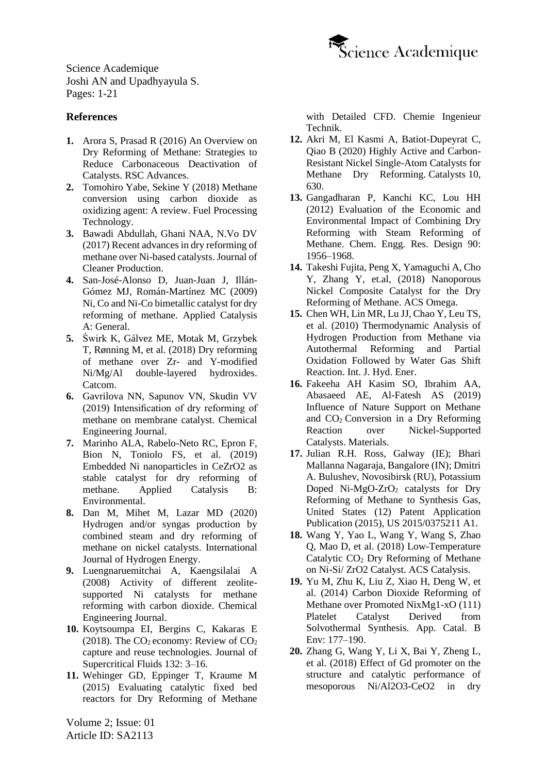

# **References**

- **1.** Arora S, Prasad [R \(2016\) An Overview on](https://pubs.rsc.org/en/content/articlelanding/2016/ra/c6ra20450c#!divAbstract)  [Dry Reforming of Methane: Strategies to](https://pubs.rsc.org/en/content/articlelanding/2016/ra/c6ra20450c#!divAbstract)  [Reduce Carbonaceous Deactivation of](https://pubs.rsc.org/en/content/articlelanding/2016/ra/c6ra20450c#!divAbstract)  Catalysts. [RSC Advances.](https://pubs.rsc.org/en/content/articlelanding/2016/ra/c6ra20450c#!divAbstract)
- **2.** [Tomohiro Yabe, Sekine Y \(2018\)](https://www.sciencedirect.com/science/article/pii/S037838201831097X?via%3Dihub) Methane [conversion using carbon dioxide as](https://www.sciencedirect.com/science/article/pii/S037838201831097X?via%3Dihub)  [oxidizing agent: A review.](https://www.sciencedirect.com/science/article/pii/S037838201831097X?via%3Dihub) Fuel Processing [Technology.](https://www.sciencedirect.com/science/article/pii/S037838201831097X?via%3Dihub)
- **3.** [Bawadi Abdullah, Ghani NAA, N.Vo DV](https://www.sciencedirect.com/science/article/abs/pii/S0959652617311289?via%3Dihub)  [\(2017\) Recent advances in dry reforming of](https://www.sciencedirect.com/science/article/abs/pii/S0959652617311289?via%3Dihub)  [methane over Ni-based catalysts.](https://www.sciencedirect.com/science/article/abs/pii/S0959652617311289?via%3Dihub) Journal of [Cleaner Production.](https://www.sciencedirect.com/science/article/abs/pii/S0959652617311289?via%3Dihub)
- **4.** [San-José-Alonso](https://www.sciencedirect.com/science/article/abs/pii/S0926860X09006486?via%3Dihub) D, Juan-Juan J, Illán-Gómez [MJ, Román-Martínez MC \(2009\)](https://www.sciencedirect.com/science/article/abs/pii/S0926860X09006486?via%3Dihub)  [Ni, Co and Ni-Co bimetallic catalyst for dry](https://www.sciencedirect.com/science/article/abs/pii/S0926860X09006486?via%3Dihub)  [reforming of methane.](https://www.sciencedirect.com/science/article/abs/pii/S0926860X09006486?via%3Dihub) Applied Catalysis [A: General.](https://www.sciencedirect.com/science/article/abs/pii/S0926860X09006486?via%3Dihub)
- **5.** Świrk K, Gálvez ME, Motak [M, Grzybek](https://www.sciencedirect.com/science/article/abs/pii/S1566736718303807) T, Rønning [M, et al. \(2018\) Dry reforming](https://www.sciencedirect.com/science/article/abs/pii/S1566736718303807)  [of methane over Zr-](https://www.sciencedirect.com/science/article/abs/pii/S1566736718303807) and Y-modified [Ni/Mg/Al double-layered](https://www.sciencedirect.com/science/article/abs/pii/S1566736718303807) hydroxides. [Catcom.](https://www.sciencedirect.com/science/article/abs/pii/S1566736718303807)
- **6.** [Gavrilova NN, Sapunov VN, Skudin VV](https://www.sciencedirect.com/science/article/abs/pii/S1385894719311933?via%3Dihub)  [\(2019\) Intensification of dry reforming of](https://www.sciencedirect.com/science/article/abs/pii/S1385894719311933?via%3Dihub)  [methane on membrane catalyst. Chemical](https://www.sciencedirect.com/science/article/abs/pii/S1385894719311933?via%3Dihub)  [Engineering Journal.](https://www.sciencedirect.com/science/article/abs/pii/S1385894719311933?via%3Dihub)
- **7.** [Marinho ALA, Rabelo-Neto RC, Epron F,](https://www.sciencedirect.com/science/article/abs/pii/S0926337319311336?via%3Dihub)  [Bion N, Toniolo FS, et al. \(2019\)](https://www.sciencedirect.com/science/article/abs/pii/S0926337319311336?via%3Dihub) [Embedded Ni nanoparticles in CeZrO2 as](https://www.sciencedirect.com/science/article/abs/pii/S0926337319311336?via%3Dihub)  [stable catalyst for dry reforming of](https://www.sciencedirect.com/science/article/abs/pii/S0926337319311336?via%3Dihub)  methane. [Applied Catalysis B:](https://www.sciencedirect.com/science/article/abs/pii/S0926337319311336?via%3Dihub)  [Environmental.](https://www.sciencedirect.com/science/article/abs/pii/S0926337319311336?via%3Dihub)
- **8.** Dan M, Mihet [M, Lazar MD \(2020\)](https://www.sciencedirect.com/science/article/abs/pii/S0360319919347263?via%3Dihub)  [Hydrogen and/or syngas production by](https://www.sciencedirect.com/science/article/abs/pii/S0360319919347263?via%3Dihub)  [combined steam and dry reforming of](https://www.sciencedirect.com/science/article/abs/pii/S0360319919347263?via%3Dihub)  [methane on nickel catalysts.](https://www.sciencedirect.com/science/article/abs/pii/S0360319919347263?via%3Dihub) International [Journal of Hydrogen Energy.](https://www.sciencedirect.com/science/article/abs/pii/S0360319919347263?via%3Dihub)
- **9.** [Luengnaruemitchai A, Kaengsilalai A](https://www.sciencedirect.com/science/article/abs/pii/S1385894708003070)  [\(2008\) Activity of different zeolite](https://www.sciencedirect.com/science/article/abs/pii/S1385894708003070)[supported Ni catalysts for methane](https://www.sciencedirect.com/science/article/abs/pii/S1385894708003070)  [reforming with carbon dioxide.](https://www.sciencedirect.com/science/article/abs/pii/S1385894708003070) Chemical [Engineering Journal.](https://www.sciencedirect.com/science/article/abs/pii/S1385894708003070)
- **10.** [Koytsoumpa](https://www.researchgate.net/publication/318693540_The_CO2_economy_Review_of_CO2_capture_and_reuse_technologies) EI, Bergins C, Kakaras E (2018). The  $CO<sub>2</sub>$  economy: Review of  $CO<sub>2</sub>$ [capture and reuse technologies. Journal of](https://www.researchgate.net/publication/318693540_The_CO2_economy_Review_of_CO2_capture_and_reuse_technologies)  [Supercritical Fluids](https://www.researchgate.net/publication/318693540_The_CO2_economy_Review_of_CO2_capture_and_reuse_technologies) 132: 3–16.
- **11.** Wehinger [GD, Eppinger T, Kraume M](https://onlinelibrary.wiley.com/doi/abs/10.1002/cite.201400153) (2015) [Evaluating catalytic fixed bed](https://onlinelibrary.wiley.com/doi/abs/10.1002/cite.201400153)  [reactors for Dry Reforming of Methane](https://onlinelibrary.wiley.com/doi/abs/10.1002/cite.201400153)

Volume 2; Issue: 01 Article ID: SA2113

[with Detailed CFD.](https://onlinelibrary.wiley.com/doi/abs/10.1002/cite.201400153) Chemie Ingenieur [Technik.](https://onlinelibrary.wiley.com/doi/abs/10.1002/cite.201400153)

- **12.** Akri M, El Kasmi A, [Batiot-Dupeyrat](https://www.mdpi.com/2073-4344/10/6/630) C, Qiao B [\(2020\) Highly Active and Carbon-](https://www.mdpi.com/2073-4344/10/6/630)[Resistant Nickel Single-Atom Catalysts for](https://www.mdpi.com/2073-4344/10/6/630)  [Methane Dry Reforming.](https://www.mdpi.com/2073-4344/10/6/630) Catalysts 10, [630.](https://www.mdpi.com/2073-4344/10/6/630)
- **13.** [Gangadharan P, Kanchi](https://www.sciencedirect.com/science/article/abs/pii/S0263876212001438) KC, Lou HH [\(2012\) Evaluation of the Economic and](https://www.sciencedirect.com/science/article/abs/pii/S0263876212001438)  [Environmental Impact of Combining Dry](https://www.sciencedirect.com/science/article/abs/pii/S0263876212001438)  [Reforming with Steam Reforming of](https://www.sciencedirect.com/science/article/abs/pii/S0263876212001438)  [Methane. Chem. Engg. Res. Design 90:](https://www.sciencedirect.com/science/article/abs/pii/S0263876212001438) [1956–1968.](https://www.sciencedirect.com/science/article/abs/pii/S0263876212001438)
- **14.** [Takeshi Fujita, Peng X, Yamaguchi A, Cho](https://pubs.acs.org/doi/10.1021/acsomega.8b02023)  [Y, Zhang Y, et.al, \(2018\) Nanoporous](https://pubs.acs.org/doi/10.1021/acsomega.8b02023)  [Nickel Composite Catalyst for the Dry](https://pubs.acs.org/doi/10.1021/acsomega.8b02023)  [Reforming of Methane.](https://pubs.acs.org/doi/10.1021/acsomega.8b02023) ACS Omega.
- **15.** Chen [WH, Lin](https://www.researchgate.net/publication/251580041_Thermodynamic_analysis_of_hydrogen_production_from_methane_via_autothermal_reforming_and_partial_oxidation_followed_by_water_gas_shift_reaction) MR, Lu JJ, Chao Y, Leu TS, et al. [\(2010\) Thermodynamic Analysis of](https://www.researchgate.net/publication/251580041_Thermodynamic_analysis_of_hydrogen_production_from_methane_via_autothermal_reforming_and_partial_oxidation_followed_by_water_gas_shift_reaction)  [Hydrogen Production from Methane via](https://www.researchgate.net/publication/251580041_Thermodynamic_analysis_of_hydrogen_production_from_methane_via_autothermal_reforming_and_partial_oxidation_followed_by_water_gas_shift_reaction)  [Autothermal Reforming and Partial](https://www.researchgate.net/publication/251580041_Thermodynamic_analysis_of_hydrogen_production_from_methane_via_autothermal_reforming_and_partial_oxidation_followed_by_water_gas_shift_reaction)  [Oxidation Followed by Water Gas Shift](https://www.researchgate.net/publication/251580041_Thermodynamic_analysis_of_hydrogen_production_from_methane_via_autothermal_reforming_and_partial_oxidation_followed_by_water_gas_shift_reaction)  [Reaction. Int. J. Hyd. Ener.](https://www.researchgate.net/publication/251580041_Thermodynamic_analysis_of_hydrogen_production_from_methane_via_autothermal_reforming_and_partial_oxidation_followed_by_water_gas_shift_reaction)
- **16.** Fakeeha AH Kasim [SO, Ibrahim](https://www.mdpi.com/1996-1944/12/11/1777) AA, Abasaeed [AE, Al-Fatesh AS \(2019\)](https://www.mdpi.com/1996-1944/12/11/1777)  [Influence of Nature Support on Methane](https://www.mdpi.com/1996-1944/12/11/1777)  and  $CO<sub>2</sub>$  Conversion in a Dry Reforming [Reaction over Nickel-Supported](https://www.mdpi.com/1996-1944/12/11/1777)  Catalysts. [Materials.](https://www.mdpi.com/1996-1944/12/11/1777)
- **17.** Julian R.H. Ross, Galway (IE); Bhari Mallanna Nagaraja, Bangalore (IN); Dmitri A. Bulushev, Novosibirsk (RU), Potassium Doped Ni-MgO-ZrO<sub>2</sub> catalysts for Dry Reforming of Methane to Synthesis Gas, United States (12) Patent Application Publication (2015), US 2015/0375211 A1.
- **18.** [Wang Y, Yao L, Wang Y, Wang S, Zhao](https://pubs.acs.org/doi/10.1021/acscatal.8b00584)  Q, Mao D, et [al. \(2018\) Low-Temperature](https://pubs.acs.org/doi/10.1021/acscatal.8b00584)  Catalytic CO<sub>2</sub> Dry Reforming of Methane [on Ni-Si/ ZrO2 Catalyst.](https://pubs.acs.org/doi/10.1021/acscatal.8b00584) ACS Catalysis.
- **19.** Yu M, Zhu K, Liu Z, Xiao [H, Deng](https://www.researchgate.net/publication/259136243_Carbon_dioxide_reforming_of_methane_over_promoted_NixMg1-xO_1_1_1_platelet_catalyst_derived_from_solvothermal_synthesis) W, et al. (2014) [Carbon Dioxide Reforming of](https://www.researchgate.net/publication/259136243_Carbon_dioxide_reforming_of_methane_over_promoted_NixMg1-xO_1_1_1_platelet_catalyst_derived_from_solvothermal_synthesis)  [Methane over Promoted NixMg1-xO \(111\)](https://www.researchgate.net/publication/259136243_Carbon_dioxide_reforming_of_methane_over_promoted_NixMg1-xO_1_1_1_platelet_catalyst_derived_from_solvothermal_synthesis)  [Platelet Catalyst Derived from](https://www.researchgate.net/publication/259136243_Carbon_dioxide_reforming_of_methane_over_promoted_NixMg1-xO_1_1_1_platelet_catalyst_derived_from_solvothermal_synthesis)  [Solvothermal Synthesis. App. Catal. B](https://www.researchgate.net/publication/259136243_Carbon_dioxide_reforming_of_methane_over_promoted_NixMg1-xO_1_1_1_platelet_catalyst_derived_from_solvothermal_synthesis)  [Env: 177–190.](https://www.researchgate.net/publication/259136243_Carbon_dioxide_reforming_of_methane_over_promoted_NixMg1-xO_1_1_1_platelet_catalyst_derived_from_solvothermal_synthesis)
- **20.** Zhang [G, Wang Y, Li X, Bai Y, Zheng L,](https://pubs.acs.org/doi/10.1021/acs.iecr.8b03612)  et al. [\(2018\) Effect of Gd promoter on the](https://pubs.acs.org/doi/10.1021/acs.iecr.8b03612)  [structure and catalytic performance of](https://pubs.acs.org/doi/10.1021/acs.iecr.8b03612)  [mesoporous Ni/Al2O3-CeO2 in dry](https://pubs.acs.org/doi/10.1021/acs.iecr.8b03612)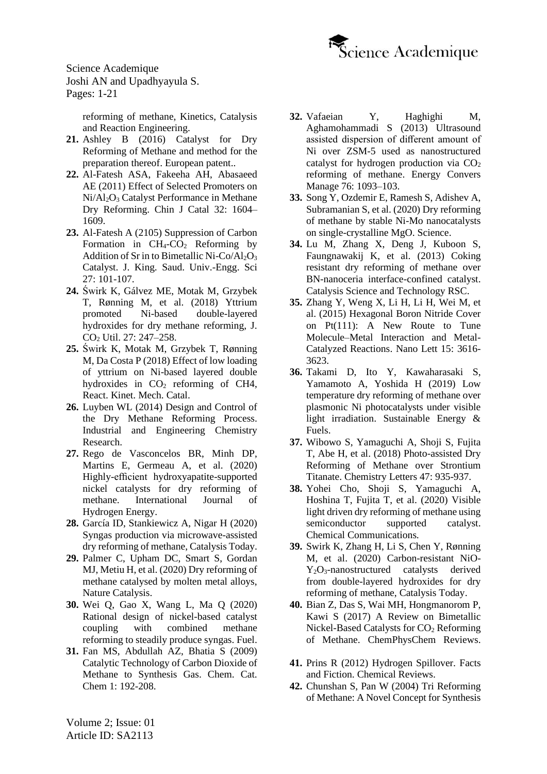

> [reforming of methane, Kinetics, Catalysis](https://pubs.acs.org/doi/10.1021/acs.iecr.8b03612)  [and Reaction Engineering.](https://pubs.acs.org/doi/10.1021/acs.iecr.8b03612)

- **21.** Ashley B (2016) Catalyst for Dry Reforming of Methane and method for the preparation thereof. European patent..
- **22.** [Al-Fatesh ASA, Fakeeha](https://www.sciencedirect.com/science/article/abs/pii/S1872206710602677) AH, Abasaeed [AE \(2011\) Effect of Selected Promoters on](https://www.sciencedirect.com/science/article/abs/pii/S1872206710602677)  Ni/Al2O<sup>3</sup> [Catalyst Performance in Methane](https://www.sciencedirect.com/science/article/abs/pii/S1872206710602677)  [Dry Reforming. Chin](https://www.sciencedirect.com/science/article/abs/pii/S1872206710602677) J Catal 32: 1604– [1609.](https://www.sciencedirect.com/science/article/abs/pii/S1872206710602677)
- **23.** Al-Fatesh A (2105) [Suppression of Carbon](https://www.sciencedirect.com/science/article/pii/S1018363913000482)  Formation in  $CH_4$ - $CO_2$  Reforming by [Addition of Sr in to Bimetallic Ni-Co/Al](https://www.sciencedirect.com/science/article/pii/S1018363913000482)<sub>2</sub>O<sub>3</sub> [Catalyst. J. King. Saud. Univ.-Engg. Sci](https://www.sciencedirect.com/science/article/pii/S1018363913000482) [27: 101-107.](https://www.sciencedirect.com/science/article/pii/S1018363913000482)
- **24.** Świrk K, Gálvez ME, Motak [M, Grzybek](https://www.researchgate.net/publication/326973025_Yttrium_promoted_Ni-based_double-layered_hydroxides_for_dry_methane_reforming) T, Rønning [M, et al. \(2018\) Yttrium](https://www.researchgate.net/publication/326973025_Yttrium_promoted_Ni-based_double-layered_hydroxides_for_dry_methane_reforming)  [promoted Ni-based double-layered](https://www.researchgate.net/publication/326973025_Yttrium_promoted_Ni-based_double-layered_hydroxides_for_dry_methane_reforming)  [hydroxides for dry methane reforming, J.](https://www.researchgate.net/publication/326973025_Yttrium_promoted_Ni-based_double-layered_hydroxides_for_dry_methane_reforming)  CO<sup>2</sup> [Util. 27: 247–258.](https://www.researchgate.net/publication/326973025_Yttrium_promoted_Ni-based_double-layered_hydroxides_for_dry_methane_reforming)
- **25.** Świrk K, Motak [M, Grzybek](https://www.x-mol.com/paper/1225039670620504068?recommendPaper=64079) T, Rønning M, Da Costa P (2018) [Effect of low loading](https://www.x-mol.com/paper/1225039670620504068?recommendPaper=64079)  [of yttrium on Ni-based layered double](https://www.x-mol.com/paper/1225039670620504068?recommendPaper=64079)  hydroxides in  $CO<sub>2</sub>$  reforming of CH4, [React. Kinet. Mech. Catal.](https://www.x-mol.com/paper/1225039670620504068?recommendPaper=64079)
- **26.** [Luyben WL \(2014\) Design and Control of](https://pubs.acs.org/doi/abs/10.1021/ie5023942)  [the Dry Methane Reforming Process.](https://pubs.acs.org/doi/abs/10.1021/ie5023942)  [Industrial and Engineering Chemistry](https://pubs.acs.org/doi/abs/10.1021/ie5023942)  [Research.](https://pubs.acs.org/doi/abs/10.1021/ie5023942)
- **27.** [Rego de Vasconcelos BR, Minh DP,](https://www.sciencedirect.com/science/article/abs/pii/S0360319919330411)  [Martins E, Germeau A,](https://www.sciencedirect.com/science/article/abs/pii/S0360319919330411) et al. (2020) [Highly-efficient hydroxyapatite-supported](https://www.sciencedirect.com/science/article/abs/pii/S0360319919330411)  [nickel catalysts for dry reforming of](https://www.sciencedirect.com/science/article/abs/pii/S0360319919330411)  methane. [International Journal of](https://www.sciencedirect.com/science/article/abs/pii/S0360319919330411)  [Hydrogen Energy.](https://www.sciencedirect.com/science/article/abs/pii/S0360319919330411)
- **28.** [García ID, Stankiewicz A, Nigar H](https://www.sciencedirect.com/science/article/pii/S092058612030239X#:~:text=In%20the%20present%20work%2C%20the,%2DSiC%20and%20Ni%2FSiC.) (2020) [Syngas production via microwave-assisted](https://www.sciencedirect.com/science/article/pii/S092058612030239X#:~:text=In%20the%20present%20work%2C%20the,%2DSiC%20and%20Ni%2FSiC.)  [dry reforming of methane, Catalysis Today.](https://www.sciencedirect.com/science/article/pii/S092058612030239X#:~:text=In%20the%20present%20work%2C%20the,%2DSiC%20and%20Ni%2FSiC.)
- **29.** Palmer [C, Upham DC, Smart S, Gordan](https://www.nature.com/articles/s41929-019-0416-2#:~:text=Dry%20reforming%20of%20methane%20usually,mol%25%20Ni%3AIn).)  MJ, Metiu H, et [al. \(2020\) Dry reforming of](https://www.nature.com/articles/s41929-019-0416-2#:~:text=Dry%20reforming%20of%20methane%20usually,mol%25%20Ni%3AIn).)  [methane catalysed by molten metal alloys,](https://www.nature.com/articles/s41929-019-0416-2#:~:text=Dry%20reforming%20of%20methane%20usually,mol%25%20Ni%3AIn).)  [Nature Catalysis.](https://www.nature.com/articles/s41929-019-0416-2#:~:text=Dry%20reforming%20of%20methane%20usually,mol%25%20Ni%3AIn).)
- **30.** Wei [Q, Gao X, Wang L, Ma Q](https://www.sciencedirect.com/science/article/abs/pii/S0016236120306268#:~:text=The%20Ni%2FCe%2DAl%2D,catalytic%20stability%20with%20250%20h.) (2020) [Rational design of nickel-based catalyst](https://www.sciencedirect.com/science/article/abs/pii/S0016236120306268#:~:text=The%20Ni%2FCe%2DAl%2D,catalytic%20stability%20with%20250%20h.)  [coupling with combined methane](https://www.sciencedirect.com/science/article/abs/pii/S0016236120306268#:~:text=The%20Ni%2FCe%2DAl%2D,catalytic%20stability%20with%20250%20h.)  [reforming to steadily produce syngas. Fuel.](https://www.sciencedirect.com/science/article/abs/pii/S0016236120306268#:~:text=The%20Ni%2FCe%2DAl%2D,catalytic%20stability%20with%20250%20h.)
- **31.** Fan [MS, Abdullah](https://chemistry-europe.onlinelibrary.wiley.com/doi/abs/10.1002/cctc.200900025) AZ, Bhatia S (2009) [Catalytic Technology of Carbon Dioxide of](https://chemistry-europe.onlinelibrary.wiley.com/doi/abs/10.1002/cctc.200900025)  [Methane to Synthesis Gas. Chem. Cat.](https://chemistry-europe.onlinelibrary.wiley.com/doi/abs/10.1002/cctc.200900025)  Chem 1: [192-208.](https://chemistry-europe.onlinelibrary.wiley.com/doi/abs/10.1002/cctc.200900025)
- **32.** [Vafaeian Y, Haghighi M,](https://inis.iaea.org/search/search.aspx?orig_q=RN:46004674)  [Aghamohammadi S](https://inis.iaea.org/search/search.aspx?orig_q=RN:46004674) (2013) Ultrasound [assisted dispersion of different amount of](https://inis.iaea.org/search/search.aspx?orig_q=RN:46004674)  [Ni over ZSM-5 used as nanostructured](https://inis.iaea.org/search/search.aspx?orig_q=RN:46004674) catalyst for hydrogen production via  $CO<sub>2</sub>$ [reforming of methane. Energy Convers](https://inis.iaea.org/search/search.aspx?orig_q=RN:46004674)  [Manage 76:](https://inis.iaea.org/search/search.aspx?orig_q=RN:46004674) 1093–103.
- **33.** Song [Y, Ozdemir E, Ramesh S, Adishev A,](https://science.sciencemag.org/content/367/6479/777)  Subramanian S, et [al. \(2020\) Dry reforming](https://science.sciencemag.org/content/367/6479/777)  [of methane by stable Ni-Mo nanocatalysts](https://science.sciencemag.org/content/367/6479/777)  [on single-crystalline MgO.](https://science.sciencemag.org/content/367/6479/777) Science.
- **34.** Lu [M, Zhang X, Deng J, Kuboon S,](https://pubs.rsc.org/en/content/articlelanding/2020/cy/d0cy00537a#!divAbstract)  [Faungnawakij K, et al.](https://pubs.rsc.org/en/content/articlelanding/2020/cy/d0cy00537a#!divAbstract) (2013) Coking [resistant dry reforming of methane over](https://pubs.rsc.org/en/content/articlelanding/2020/cy/d0cy00537a#!divAbstract)  [BN-nanoceria interface-confined catalyst.](https://pubs.rsc.org/en/content/articlelanding/2020/cy/d0cy00537a#!divAbstract)  [Catalysis Science and Technology RSC.](https://pubs.rsc.org/en/content/articlelanding/2020/cy/d0cy00537a#!divAbstract)
- **35.** Zhang [Y, Weng](https://pubs.acs.org/doi/abs/10.1021/acs.nanolett.5b01205) X, Li H, Li H, Wei M, et al. (2015) [Hexagonal Boron Nitride Cover](https://pubs.acs.org/doi/abs/10.1021/acs.nanolett.5b01205)  [on Pt\(111\): A New Route to Tune](https://pubs.acs.org/doi/abs/10.1021/acs.nanolett.5b01205)  [Molecule–Metal Interaction and Metal-](https://pubs.acs.org/doi/abs/10.1021/acs.nanolett.5b01205)[Catalyzed Reactions. Nano Lett](https://pubs.acs.org/doi/abs/10.1021/acs.nanolett.5b01205) 15: 3616- [3623.](https://pubs.acs.org/doi/abs/10.1021/acs.nanolett.5b01205)
- **36.** Takami D, Ito [Y, Kawaharasaki](https://pubs.rsc.org/en/content/articlelanding/2019/se/c9se00206e#!divAbstract) S, [Yamamoto A, Yoshida](https://pubs.rsc.org/en/content/articlelanding/2019/se/c9se00206e#!divAbstract) H (2019) Low [temperature dry reforming of methane over](https://pubs.rsc.org/en/content/articlelanding/2019/se/c9se00206e#!divAbstract)  [plasmonic Ni photocatalysts under visible](https://pubs.rsc.org/en/content/articlelanding/2019/se/c9se00206e#!divAbstract)  [light irradiation. Sustainable Energy &](https://pubs.rsc.org/en/content/articlelanding/2019/se/c9se00206e#!divAbstract)  [Fuels.](https://pubs.rsc.org/en/content/articlelanding/2019/se/c9se00206e#!divAbstract)
- **37.** Wibowo [S, Yamaguchi](https://www.journal.csj.jp/doi/10.1246/cl.180347) A, Shoji S, Fujita [T, Abe H, et al. \(2018\)](https://www.journal.csj.jp/doi/10.1246/cl.180347) Photo-assisted Dry [Reforming of Methane over Strontium](https://www.journal.csj.jp/doi/10.1246/cl.180347)  [Titanate. Chemistry Letters](https://www.journal.csj.jp/doi/10.1246/cl.180347) 47: 935-937.
- **38.** [Yohei Cho, Shoji S, Yamaguchi A,](https://pubs.rsc.org/en/content/articlelanding/2020/cc/d0cc00729c#!divAbstract)  [Hoshina T, Fujita T, et](https://pubs.rsc.org/en/content/articlelanding/2020/cc/d0cc00729c#!divAbstract) al. (2020) Visible [light driven dry reforming of methane using](https://pubs.rsc.org/en/content/articlelanding/2020/cc/d0cc00729c#!divAbstract)  [semiconductor supported catalyst.](https://pubs.rsc.org/en/content/articlelanding/2020/cc/d0cc00729c#!divAbstract)  [Chemical Communications.](https://pubs.rsc.org/en/content/articlelanding/2020/cc/d0cc00729c#!divAbstract)
- **39.** [Swirk K, Zhang H, Li S, Chen Y, Rønning](https://www.sciencedirect.com/science/article/abs/pii/S0920586120301498?via%3Dihub)  M, et al. (2020) [Carbon-resistant NiO-](https://www.sciencedirect.com/science/article/abs/pii/S0920586120301498?via%3Dihub)Y<sub>2</sub>O<sub>3</sub>-nanostructured catalysts derived [from double-layered hydroxides for dry](https://www.sciencedirect.com/science/article/abs/pii/S0920586120301498?via%3Dihub)  [reforming of methane, Catalysis Today.](https://www.sciencedirect.com/science/article/abs/pii/S0920586120301498?via%3Dihub)
- **40.** Bian Z, [Das S, Wai MH, Hongmanorom P,](https://chemistry-europe.onlinelibrary.wiley.com/doi/full/10.1002/cphc.201700529)  [Kawi S \(2017\) A Review on Bimetallic](https://chemistry-europe.onlinelibrary.wiley.com/doi/full/10.1002/cphc.201700529)  [Nickel-Based Catalysts for CO](https://chemistry-europe.onlinelibrary.wiley.com/doi/full/10.1002/cphc.201700529)<sub>2</sub> Reforming of Methane. [ChemPhysChem Reviews.](https://chemistry-europe.onlinelibrary.wiley.com/doi/full/10.1002/cphc.201700529)
- **41.** Prins R (2012) [Hydrogen Spillover. Facts](https://pubs.acs.org/doi/10.1021/cr200346z)  [and Fiction. Chemical Reviews.](https://pubs.acs.org/doi/10.1021/cr200346z)
- **42.** Chunshan S, Pan W [\(2004\) Tri Reforming](https://pennstate.pure.elsevier.com/en/publications/tri-reforming-of-methane-a-novel-concept-for-synthesis-of-industr)  [of Methane: A Novel Concept for Synthesis](https://pennstate.pure.elsevier.com/en/publications/tri-reforming-of-methane-a-novel-concept-for-synthesis-of-industr)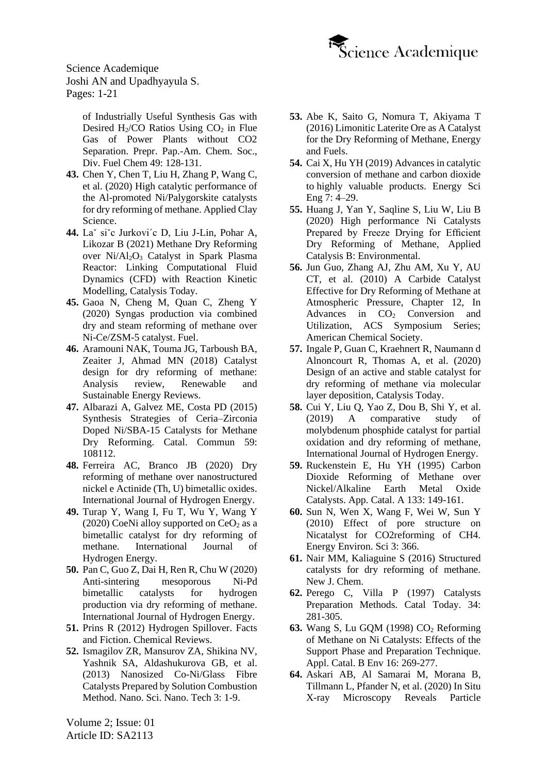

> [of Industrially Useful Synthesis Gas with](https://pennstate.pure.elsevier.com/en/publications/tri-reforming-of-methane-a-novel-concept-for-synthesis-of-industr)  Desired H<sub>2</sub>/CO Ratios Using  $CO<sub>2</sub>$  in Flue [Gas of Power Plants without CO2](https://pennstate.pure.elsevier.com/en/publications/tri-reforming-of-methane-a-novel-concept-for-synthesis-of-industr)  [Separation. Prepr. Pap.-Am. Chem. Soc.,](https://pennstate.pure.elsevier.com/en/publications/tri-reforming-of-methane-a-novel-concept-for-synthesis-of-industr)  [Div. Fuel Chem](https://pennstate.pure.elsevier.com/en/publications/tri-reforming-of-methane-a-novel-concept-for-synthesis-of-industr) 49: 128-131.

- **43.** Chen [Y, Chen T, Liu H, Zhang P, Wang C,](https://www.sciencedirect.com/science/article/abs/pii/S0169131720300636#:~:text=Abstract-,The%20Al%2Dpromoted%20Ni%2Dbased%20catalysts%20were%20prepared%20by%20co,(Pal)%20as%20the%20support.&text=The%20results%20showed%20that%20the,the%20catalysts%20for%20DRM%20reactions.)  et al. (2020) [High catalytic performance of](https://www.sciencedirect.com/science/article/abs/pii/S0169131720300636#:~:text=Abstract-,The%20Al%2Dpromoted%20Ni%2Dbased%20catalysts%20were%20prepared%20by%20co,(Pal)%20as%20the%20support.&text=The%20results%20showed%20that%20the,the%20catalysts%20for%20DRM%20reactions.)  [the Al-promoted Ni/Palygorskite catalysts](https://www.sciencedirect.com/science/article/abs/pii/S0169131720300636#:~:text=Abstract-,The%20Al%2Dpromoted%20Ni%2Dbased%20catalysts%20were%20prepared%20by%20co,(Pal)%20as%20the%20support.&text=The%20results%20showed%20that%20the,the%20catalysts%20for%20DRM%20reactions.)  [for dry reforming of methane. Applied Clay](https://www.sciencedirect.com/science/article/abs/pii/S0169131720300636#:~:text=Abstract-,The%20Al%2Dpromoted%20Ni%2Dbased%20catalysts%20were%20prepared%20by%20co,(Pal)%20as%20the%20support.&text=The%20results%20showed%20that%20the,the%20catalysts%20for%20DRM%20reactions.)  [Science.](https://www.sciencedirect.com/science/article/abs/pii/S0169131720300636#:~:text=Abstract-,The%20Al%2Dpromoted%20Ni%2Dbased%20catalysts%20were%20prepared%20by%20co,(Pal)%20as%20the%20support.&text=The%20results%20showed%20that%20the,the%20catalysts%20for%20DRM%20reactions.)
- **44.** [Laˇ siˇc Jurkovi´c D, Liu J-Lin, Pohar A,](https://www.sciencedirect.com/science/article/abs/pii/S0920586120303072)  Likozar B [\(2021\) Methane Dry Reforming](https://www.sciencedirect.com/science/article/abs/pii/S0920586120303072)  over Ni/Al<sub>2</sub>O<sub>3</sub> Catalyst in Spark Plasma [Reactor: Linking Computational Fluid](https://www.sciencedirect.com/science/article/abs/pii/S0920586120303072)  [Dynamics \(CFD\) with Reaction Kinetic](https://www.sciencedirect.com/science/article/abs/pii/S0920586120303072)  [Modelling, Catalysis Today.](https://www.sciencedirect.com/science/article/abs/pii/S0920586120303072)
- **45.** Gaoa [N, Cheng M, Quan C, Zheng Y](https://www.sciencedirect.com/science/article/abs/pii/S0016236120306979?via%3Dihub) (2020) [Syngas production via combined](https://www.sciencedirect.com/science/article/abs/pii/S0016236120306979?via%3Dihub)  [dry and steam reforming of methane over](https://www.sciencedirect.com/science/article/abs/pii/S0016236120306979?via%3Dihub)  [Ni-Ce/ZSM-5 catalyst.](https://www.sciencedirect.com/science/article/abs/pii/S0016236120306979?via%3Dihub) Fuel.
- **46.** Aramouni [NAK, Touma JG, Tarboush BA,](https://www.sciencedirect.com/science/article/abs/pii/S1364032117313278?via%3Dihub)  [Zeaiter J, Ahmad MN](https://www.sciencedirect.com/science/article/abs/pii/S1364032117313278?via%3Dihub) (2018) Catalyst [design for dry reforming of methane:](https://www.sciencedirect.com/science/article/abs/pii/S1364032117313278?via%3Dihub)  [Analysis review, Renewable and](https://www.sciencedirect.com/science/article/abs/pii/S1364032117313278?via%3Dihub)  [Sustainable Energy](https://www.sciencedirect.com/science/article/abs/pii/S1364032117313278?via%3Dihub) Reviews.
- **47.** Albarazi A, Galvez [ME, Costa](https://www.sciencedirect.com/science/article/abs/pii/S1566736714004087) PD (2015) [Synthesis Strategies of Ceria–Zirconia](https://www.sciencedirect.com/science/article/abs/pii/S1566736714004087)  [Doped Ni/SBA-15 Catalysts for Methane](https://www.sciencedirect.com/science/article/abs/pii/S1566736714004087)  [Dry Reforming. Catal. Commun](https://www.sciencedirect.com/science/article/abs/pii/S1566736714004087) 59: [108112.](https://www.sciencedirect.com/science/article/abs/pii/S1566736714004087)
- **48.** [Ferreira AC, Branco JB](https://www.sciencedirect.com/science/article/abs/pii/S0360319920311873?via%3Dihub) (2020) Dry [reforming of methane over nanostructured](https://www.sciencedirect.com/science/article/abs/pii/S0360319920311873?via%3Dihub)  [nickel e Actinide \(Th, U\) bimetallic oxides.](https://www.sciencedirect.com/science/article/abs/pii/S0360319920311873?via%3Dihub) [International Journal of Hydrogen Energy.](https://www.sciencedirect.com/science/article/abs/pii/S0360319920311873?via%3Dihub)
- **49.** [Turap Y, Wang I, Fu T, Wu Y, Wang Y](https://www.sciencedirect.com/science/article/abs/pii/S0360319920300574?via%3Dihub) (2020) CoeNi alloy supported on  $CeO<sub>2</sub>$  as a [bimetallic catalyst for dry reforming of](https://www.sciencedirect.com/science/article/abs/pii/S0360319920300574?via%3Dihub)  methane. [International Journal of](https://www.sciencedirect.com/science/article/abs/pii/S0360319920300574?via%3Dihub)  [Hydrogen Energy.](https://www.sciencedirect.com/science/article/abs/pii/S0360319920300574?via%3Dihub)
- **50.** [Pan C, Guo Z, Dai H, Ren R, Chu W](https://www.sciencedirect.com/science/article/abs/pii/S0360319920313811?via%3Dihub) (2020) [Anti-sintering mesoporous Ni-Pd](https://www.sciencedirect.com/science/article/abs/pii/S0360319920313811?via%3Dihub)  [bimetallic catalysts for hydrogen](https://www.sciencedirect.com/science/article/abs/pii/S0360319920313811?via%3Dihub)  [production via dry reforming of methane.](https://www.sciencedirect.com/science/article/abs/pii/S0360319920313811?via%3Dihub) [International Journal of Hydrogen Energy.](https://www.sciencedirect.com/science/article/abs/pii/S0360319920313811?via%3Dihub)
- **51.** Prins R (2012) [Hydrogen Spillover. Facts](https://pubs.acs.org/doi/abs/10.1021/cr200346z)  [and Fiction. Chemical Reviews.](https://pubs.acs.org/doi/abs/10.1021/cr200346z)
- **52.** Ismagilov ZR, Mansurov ZA, Shikina NV, Yashnik SA, Aldashukurova GB, et al. (2013) Nanosized Co-Ni/Glass Fibre Catalysts Prepared by Solution Combustion Method. Nano. Sci. Nano. Tech 3: 1-9.
- **53.** Abe [K, Saito G, Nomura T, Akiyama T](https://pubs.acs.org/doi/10.1021/acs.energyfuels.6b00940)  [\(2016\) Limonitic Laterite Ore as A Catalyst](https://pubs.acs.org/doi/10.1021/acs.energyfuels.6b00940)  [for the Dry Reforming of Methane, Energy](https://pubs.acs.org/doi/10.1021/acs.energyfuels.6b00940)  [and Fuels.](https://pubs.acs.org/doi/10.1021/acs.energyfuels.6b00940)
- **54.** Cai X, Hu YH [\(2019\) Advances in catalytic](https://onlinelibrary.wiley.com/doi/full/10.1002/ese3.278)  [conversion of methane and carbon dioxide](https://onlinelibrary.wiley.com/doi/full/10.1002/ese3.278)  to [highly valuable products. Energy Sci](https://onlinelibrary.wiley.com/doi/full/10.1002/ese3.278)  Eng 7: [4–29.](https://onlinelibrary.wiley.com/doi/full/10.1002/ese3.278)
- **55.** [Huang J, Yan Y, Saqline S, Liu W, Liu B](https://www.sciencedirect.com/science/article/abs/pii/S0926337320305245#:~:text=Freeze%2Ddrying%20of%20NiMgAl%20LDH,catalyst%20stability%20and%20coke%20resistance.&text=Rate%20measurements%20indicate%20a%20change,determining%20step%20at%20high%20temperatures.) (2020) [High performance Ni Catalysts](https://www.sciencedirect.com/science/article/abs/pii/S0926337320305245#:~:text=Freeze%2Ddrying%20of%20NiMgAl%20LDH,catalyst%20stability%20and%20coke%20resistance.&text=Rate%20measurements%20indicate%20a%20change,determining%20step%20at%20high%20temperatures.)  [Prepared by Freeze Drying for Efficient](https://www.sciencedirect.com/science/article/abs/pii/S0926337320305245#:~:text=Freeze%2Ddrying%20of%20NiMgAl%20LDH,catalyst%20stability%20and%20coke%20resistance.&text=Rate%20measurements%20indicate%20a%20change,determining%20step%20at%20high%20temperatures.)  [Dry Reforming of Methane, Applied](https://www.sciencedirect.com/science/article/abs/pii/S0926337320305245#:~:text=Freeze%2Ddrying%20of%20NiMgAl%20LDH,catalyst%20stability%20and%20coke%20resistance.&text=Rate%20measurements%20indicate%20a%20change,determining%20step%20at%20high%20temperatures.)  [Catalysis B: Environmental.](https://www.sciencedirect.com/science/article/abs/pii/S0926337320305245#:~:text=Freeze%2Ddrying%20of%20NiMgAl%20LDH,catalyst%20stability%20and%20coke%20resistance.&text=Rate%20measurements%20indicate%20a%20change,determining%20step%20at%20high%20temperatures.)
- **56.** [Jun Guo, Zhang AJ, Zhu AM, Xu Y, AU](https://pubs.acs.org/doi/abs/10.1021/bk-2010-1056.ch012)  CT, et al. [\(2010\) A Carbide Catalyst](https://pubs.acs.org/doi/abs/10.1021/bk-2010-1056.ch012)  [Effective for Dry Reforming of Methane at](https://pubs.acs.org/doi/abs/10.1021/bk-2010-1056.ch012)  [Atmospheric Pressure, Chapter 12, In](https://pubs.acs.org/doi/abs/10.1021/bk-2010-1056.ch012)  [Advances in CO](https://pubs.acs.org/doi/abs/10.1021/bk-2010-1056.ch012)<sub>2</sub> Conversion and [Utilization, ACS Symposium Series;](https://pubs.acs.org/doi/abs/10.1021/bk-2010-1056.ch012)  [American Chemical Society.](https://pubs.acs.org/doi/abs/10.1021/bk-2010-1056.ch012)
- **57.** [Ingale P, Guan C, Kraehnert R, Naumann d](https://www.sciencedirect.com/science/article/abs/pii/S0920586120302443)  [Alnoncourt R, Thomas A, et al. \(2020\)](https://www.sciencedirect.com/science/article/abs/pii/S0920586120302443)  [Design of an active and stable](https://www.sciencedirect.com/science/article/abs/pii/S0920586120302443) catalyst for [dry reforming of methane via molecular](https://www.sciencedirect.com/science/article/abs/pii/S0920586120302443)  [layer deposition, Catalysis Today.](https://www.sciencedirect.com/science/article/abs/pii/S0920586120302443)
- **58.** Cui [Y, Liu Q, Yao Z, Dou B, Shi Y, et](https://www.sciencedirect.com/science/article/abs/pii/S0360319919311784) al. [\(2019\) A comparative study of](https://www.sciencedirect.com/science/article/abs/pii/S0360319919311784)  [molybdenum phosphide catalyst for partial](https://www.sciencedirect.com/science/article/abs/pii/S0360319919311784)  [oxidation and dry reforming of methane,](https://www.sciencedirect.com/science/article/abs/pii/S0360319919311784)  [International Journal of Hydrogen Energy.](https://www.sciencedirect.com/science/article/abs/pii/S0360319919311784)
- **59.** Ruckenstein E, Hu YH (1995) Carbon Dioxide Reforming of Methane over Nickel/Alkaline Earth Metal Oxide Catalysts. App. Catal. A 133: 149-161.
- **60.** Sun N, Wen X, Wang [F, Wei W, Sun](https://pubs.rsc.org/en/content/articlelanding/2010/ee/b925503f#!divAbstract) Y [\(2010\) Effect of pore structure on](https://pubs.rsc.org/en/content/articlelanding/2010/ee/b925503f#!divAbstract)  [Nicatalyst for CO2reforming of CH4.](https://pubs.rsc.org/en/content/articlelanding/2010/ee/b925503f#!divAbstract)  [Energy Environ. Sci](https://pubs.rsc.org/en/content/articlelanding/2010/ee/b925503f#!divAbstract) 3: 366.
- **61.** [Nair MM, Kaliaguine](https://pubs.rsc.org/-/content/articlelanding/2016/nj/c5nj03268g/unauth#!divAbstract) S (2016) Structured [catalysts for dry reforming of methane.](https://pubs.rsc.org/-/content/articlelanding/2016/nj/c5nj03268g/unauth#!divAbstract)  [New J. Chem.](https://pubs.rsc.org/-/content/articlelanding/2016/nj/c5nj03268g/unauth#!divAbstract)
- **62.** [Perego C, Villa](https://www.sciencedirect.com/science/article/abs/pii/S0920586196000557) P (1997) Catalysts [Preparation Methods. Catal](https://www.sciencedirect.com/science/article/abs/pii/S0920586196000557) Today. 34: [281-305.](https://www.sciencedirect.com/science/article/abs/pii/S0920586196000557)
- **63.** Wang S, Lu GQM (1998) CO<sub>2</sub> Reforming [of Methane on Ni Catalysts: Effects of the](https://www.sciencedirect.com/science/article/abs/pii/S0926337397000830)  [Support Phase and Preparation Technique.](https://www.sciencedirect.com/science/article/abs/pii/S0926337397000830)  [Appl. Catal. B Env](https://www.sciencedirect.com/science/article/abs/pii/S0926337397000830) 16: 269-277.
- **64.** [Askari AB, Al Samarai M, Morana B,](https://pubs.acs.org/doi/10.1021/acscatal.9b05517) [Tillmann L, Pfander N, et](https://pubs.acs.org/doi/10.1021/acscatal.9b05517) al. (2020) In Situ [X-ray Microscopy Reveals Particle](https://pubs.acs.org/doi/10.1021/acscatal.9b05517)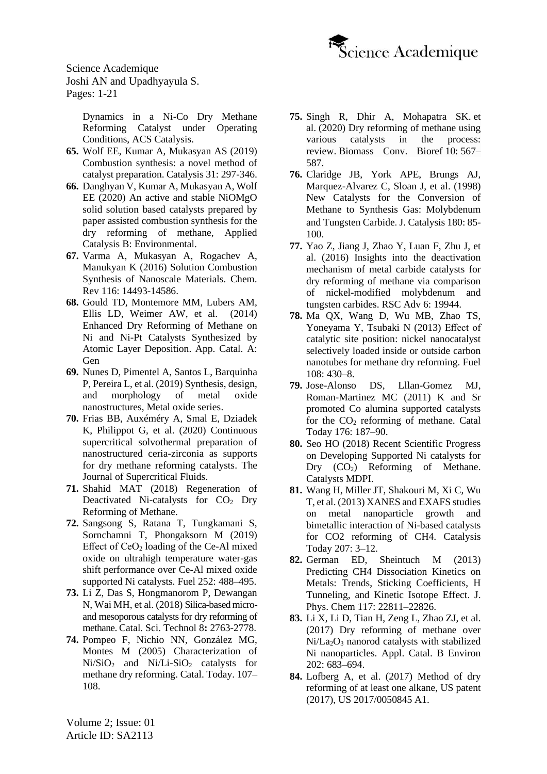

> [Dynamics in a Ni-Co Dry Methane](https://pubs.acs.org/doi/10.1021/acscatal.9b05517)  [Reforming Catalyst under Operating](https://pubs.acs.org/doi/10.1021/acscatal.9b05517)  [Conditions, ACS Catalysis.](https://pubs.acs.org/doi/10.1021/acscatal.9b05517)

- **65.** Wolf EE, Kumar [A, Mukasyan](https://www.researchgate.net/publication/331076178_Combustion_synthesis_a_novel_method_of_catalyst_preparation_Volume_31) AS (2019) [Combustion synthesis: a novel method of](https://www.researchgate.net/publication/331076178_Combustion_synthesis_a_novel_method_of_catalyst_preparation_Volume_31)  [catalyst preparation. Catalysis 31:](https://www.researchgate.net/publication/331076178_Combustion_synthesis_a_novel_method_of_catalyst_preparation_Volume_31) 297-346.
- **66.** [Danghyan V, Kumar A, Mukasyan A, Wolf](https://www.semanticscholar.org/paper/An-active-and-stable-NiOMgO-solid-solution-based-by-Danghyan-Kumar/e4bdcc0e8782be0f2b06a378626adad00a6b6185)  EE [\(2020\) An active and stable NiOMgO](https://www.semanticscholar.org/paper/An-active-and-stable-NiOMgO-solid-solution-based-by-Danghyan-Kumar/e4bdcc0e8782be0f2b06a378626adad00a6b6185)  [solid solution based catalysts prepared by](https://www.semanticscholar.org/paper/An-active-and-stable-NiOMgO-solid-solution-based-by-Danghyan-Kumar/e4bdcc0e8782be0f2b06a378626adad00a6b6185)  paper [assisted combustion synthesis for the](https://www.semanticscholar.org/paper/An-active-and-stable-NiOMgO-solid-solution-based-by-Danghyan-Kumar/e4bdcc0e8782be0f2b06a378626adad00a6b6185)  [dry reforming of methane, Applied](https://www.semanticscholar.org/paper/An-active-and-stable-NiOMgO-solid-solution-based-by-Danghyan-Kumar/e4bdcc0e8782be0f2b06a378626adad00a6b6185)  [Catalysis B: Environmental.](https://www.semanticscholar.org/paper/An-active-and-stable-NiOMgO-solid-solution-based-by-Danghyan-Kumar/e4bdcc0e8782be0f2b06a378626adad00a6b6185)
- **67.** [Varma A, Mukasyan](https://pubs.acs.org/doi/10.1021/acs.chemrev.6b00279) A, Rogachev A, Manukyan K [\(2016\) Solution Combustion](https://pubs.acs.org/doi/10.1021/acs.chemrev.6b00279)  [Synthesis of Nanoscale Materials. Chem.](https://pubs.acs.org/doi/10.1021/acs.chemrev.6b00279)  Rev 116: [14493-14586.](https://pubs.acs.org/doi/10.1021/acs.chemrev.6b00279)
- **68.** Gould [TD, Montemore](https://pdf.sciencedirectassets.com/271346/1-s2.0-S0926860X14X00232/1-s2.0-S0926860X14007431/Troy_D_Gould_atomic_layer_deposition_2015.pdf?X-Amz-Security-Token=IQoJb3JpZ2luX2VjELz%2F%2F%2F%2F%2F%2F%2F%2F%2F%2FwEaCXVzLWVhc3QtMSJHMEUCIQCyKIapX4%2FsjT%2BqXU2HTfTtWtcXguRw8NxC3GjviGWP7wIgXZ7zez9IqQkIdThKvIQF3XmSc0ywRU7M4O9XyJnUyxcqvQMI5f%2F%2F%2F%2F%2F%2F%2F%2F%2F%2FARADGgwwNTkwMDM1NDY4NjUiDMzutGELU8gV7oZkvCqRAx910jhXoY4jD6WJX0XVtQ3iOJpNSR7dythmTBoBClnwa3lnIRljyeukGzZqfNM4xCIX6%2BEX0Vq1texcvh%2BInwxvoDEU9HUvjJf%2BaaxCYT8djOAckqeUsJEDHiPpxTLp2RU55sdd%2BaWpKLKOG182zSgABpuMsGzdye4Nl%2FeyVIalx0suIOx1e9aKXH5Icgw45SrD9MLD6vYecKnqD5bYyeMGIGb%2BTi245yuTrx7%2FoeX9ccfML7I%2FY4atoF6WqYnHryAyLjA01fA3IzlGwqjBDRfSVWpf%2B%2BoRwdsp%2B%2B7IMehYpB84JuK0rpO0gAAKhmuN6fmR5YafS5BJesPVdIK6Ea3kPyYkqhnVjVBx8L8yBe7sjUBXaGYfejg3Rt6fMeklWcy%2FhPzE8UqbzBRNFOfCwoZpFHi%2Bmqn7wSpcFCauza0%2BlYR4hE8nKig5mgR6zMuJ1ZbcQRBzcyhTy4pdTrEUaw%2BLyO94%2Fwtljs55YV8SvlCcTMXeJMQ0WqHDzjjMQIkqXL6RiX3AkjafOizwnJ9Ve%2BE%2BMN6wu4IGOusBFrYzbJXgacWMZ%2FeiTz6MKLIk8ZKGvovbzlpdzGLU%2F%2FLt8gpXNy%2BgufD6ycMGLoOcj%2FrCDuN4ktbetcmoTHcKxs8HaKOwi%2FyttgFxQSsVIbHnoVYHeZuqri18PSM%2BmBOQmaheGFH7T4C4gTJk5HhXJz7QkA9aQoh%2BHYGlqer6DcfD51ZkuV%2BIOGqLyIOu%2F683aMGc7KidGZk1k21Fr30gTnVwsgrH7Bm8KmEMZXyb18PQaHsIPn%2Bl4O6rM7e5gy1x9ffgTPelJPCjIdhu6b8pHAzW1wra1pMMRju6c2bUE4d2EJ2mfyRLQy%2BkXw%3D%3D&X-Amz-Algorithm=AWS4-HMAC-SHA256&X-Amz-Date=20210315T043106Z&X-Amz-SignedHeaders=host&X-Amz-Expires=300&X-Amz-Credential=ASIAQ3PHCVTY3OJOUOP2%2F20210315%2Fus-east-1%2Fs3%2Faws4_request&X-Amz-Signature=2494dfe83036f8c60fb6da7d4c62c13c3927f48660ec12d5649d110158c13788&hash=446c8e8d688e52c00ed6421a43ecc18401b6eed7b0ed3a9be0883cc29632bdb2&host=68042c943591013ac2b2430a89b270f6af2c76d8dfd086a07176afe7c76c2c61&pii=S0926860X14007431&tid=pdf-f7462096-7f5e-4015-9578-248df79d3e97&sid=6b2b2f724197f44d4d18b7e3869cbf9f7b8fgxrqb&type=client) MM, Lubers AM, Ellis [LD, Weimer AW, et al. \(2014\)](https://pdf.sciencedirectassets.com/271346/1-s2.0-S0926860X14X00232/1-s2.0-S0926860X14007431/Troy_D_Gould_atomic_layer_deposition_2015.pdf?X-Amz-Security-Token=IQoJb3JpZ2luX2VjELz%2F%2F%2F%2F%2F%2F%2F%2F%2F%2FwEaCXVzLWVhc3QtMSJHMEUCIQCyKIapX4%2FsjT%2BqXU2HTfTtWtcXguRw8NxC3GjviGWP7wIgXZ7zez9IqQkIdThKvIQF3XmSc0ywRU7M4O9XyJnUyxcqvQMI5f%2F%2F%2F%2F%2F%2F%2F%2F%2F%2FARADGgwwNTkwMDM1NDY4NjUiDMzutGELU8gV7oZkvCqRAx910jhXoY4jD6WJX0XVtQ3iOJpNSR7dythmTBoBClnwa3lnIRljyeukGzZqfNM4xCIX6%2BEX0Vq1texcvh%2BInwxvoDEU9HUvjJf%2BaaxCYT8djOAckqeUsJEDHiPpxTLp2RU55sdd%2BaWpKLKOG182zSgABpuMsGzdye4Nl%2FeyVIalx0suIOx1e9aKXH5Icgw45SrD9MLD6vYecKnqD5bYyeMGIGb%2BTi245yuTrx7%2FoeX9ccfML7I%2FY4atoF6WqYnHryAyLjA01fA3IzlGwqjBDRfSVWpf%2B%2BoRwdsp%2B%2B7IMehYpB84JuK0rpO0gAAKhmuN6fmR5YafS5BJesPVdIK6Ea3kPyYkqhnVjVBx8L8yBe7sjUBXaGYfejg3Rt6fMeklWcy%2FhPzE8UqbzBRNFOfCwoZpFHi%2Bmqn7wSpcFCauza0%2BlYR4hE8nKig5mgR6zMuJ1ZbcQRBzcyhTy4pdTrEUaw%2BLyO94%2Fwtljs55YV8SvlCcTMXeJMQ0WqHDzjjMQIkqXL6RiX3AkjafOizwnJ9Ve%2BE%2BMN6wu4IGOusBFrYzbJXgacWMZ%2FeiTz6MKLIk8ZKGvovbzlpdzGLU%2F%2FLt8gpXNy%2BgufD6ycMGLoOcj%2FrCDuN4ktbetcmoTHcKxs8HaKOwi%2FyttgFxQSsVIbHnoVYHeZuqri18PSM%2BmBOQmaheGFH7T4C4gTJk5HhXJz7QkA9aQoh%2BHYGlqer6DcfD51ZkuV%2BIOGqLyIOu%2F683aMGc7KidGZk1k21Fr30gTnVwsgrH7Bm8KmEMZXyb18PQaHsIPn%2Bl4O6rM7e5gy1x9ffgTPelJPCjIdhu6b8pHAzW1wra1pMMRju6c2bUE4d2EJ2mfyRLQy%2BkXw%3D%3D&X-Amz-Algorithm=AWS4-HMAC-SHA256&X-Amz-Date=20210315T043106Z&X-Amz-SignedHeaders=host&X-Amz-Expires=300&X-Amz-Credential=ASIAQ3PHCVTY3OJOUOP2%2F20210315%2Fus-east-1%2Fs3%2Faws4_request&X-Amz-Signature=2494dfe83036f8c60fb6da7d4c62c13c3927f48660ec12d5649d110158c13788&hash=446c8e8d688e52c00ed6421a43ecc18401b6eed7b0ed3a9be0883cc29632bdb2&host=68042c943591013ac2b2430a89b270f6af2c76d8dfd086a07176afe7c76c2c61&pii=S0926860X14007431&tid=pdf-f7462096-7f5e-4015-9578-248df79d3e97&sid=6b2b2f724197f44d4d18b7e3869cbf9f7b8fgxrqb&type=client)  [Enhanced Dry Reforming of Methane on](https://pdf.sciencedirectassets.com/271346/1-s2.0-S0926860X14X00232/1-s2.0-S0926860X14007431/Troy_D_Gould_atomic_layer_deposition_2015.pdf?X-Amz-Security-Token=IQoJb3JpZ2luX2VjELz%2F%2F%2F%2F%2F%2F%2F%2F%2F%2FwEaCXVzLWVhc3QtMSJHMEUCIQCyKIapX4%2FsjT%2BqXU2HTfTtWtcXguRw8NxC3GjviGWP7wIgXZ7zez9IqQkIdThKvIQF3XmSc0ywRU7M4O9XyJnUyxcqvQMI5f%2F%2F%2F%2F%2F%2F%2F%2F%2F%2FARADGgwwNTkwMDM1NDY4NjUiDMzutGELU8gV7oZkvCqRAx910jhXoY4jD6WJX0XVtQ3iOJpNSR7dythmTBoBClnwa3lnIRljyeukGzZqfNM4xCIX6%2BEX0Vq1texcvh%2BInwxvoDEU9HUvjJf%2BaaxCYT8djOAckqeUsJEDHiPpxTLp2RU55sdd%2BaWpKLKOG182zSgABpuMsGzdye4Nl%2FeyVIalx0suIOx1e9aKXH5Icgw45SrD9MLD6vYecKnqD5bYyeMGIGb%2BTi245yuTrx7%2FoeX9ccfML7I%2FY4atoF6WqYnHryAyLjA01fA3IzlGwqjBDRfSVWpf%2B%2BoRwdsp%2B%2B7IMehYpB84JuK0rpO0gAAKhmuN6fmR5YafS5BJesPVdIK6Ea3kPyYkqhnVjVBx8L8yBe7sjUBXaGYfejg3Rt6fMeklWcy%2FhPzE8UqbzBRNFOfCwoZpFHi%2Bmqn7wSpcFCauza0%2BlYR4hE8nKig5mgR6zMuJ1ZbcQRBzcyhTy4pdTrEUaw%2BLyO94%2Fwtljs55YV8SvlCcTMXeJMQ0WqHDzjjMQIkqXL6RiX3AkjafOizwnJ9Ve%2BE%2BMN6wu4IGOusBFrYzbJXgacWMZ%2FeiTz6MKLIk8ZKGvovbzlpdzGLU%2F%2FLt8gpXNy%2BgufD6ycMGLoOcj%2FrCDuN4ktbetcmoTHcKxs8HaKOwi%2FyttgFxQSsVIbHnoVYHeZuqri18PSM%2BmBOQmaheGFH7T4C4gTJk5HhXJz7QkA9aQoh%2BHYGlqer6DcfD51ZkuV%2BIOGqLyIOu%2F683aMGc7KidGZk1k21Fr30gTnVwsgrH7Bm8KmEMZXyb18PQaHsIPn%2Bl4O6rM7e5gy1x9ffgTPelJPCjIdhu6b8pHAzW1wra1pMMRju6c2bUE4d2EJ2mfyRLQy%2BkXw%3D%3D&X-Amz-Algorithm=AWS4-HMAC-SHA256&X-Amz-Date=20210315T043106Z&X-Amz-SignedHeaders=host&X-Amz-Expires=300&X-Amz-Credential=ASIAQ3PHCVTY3OJOUOP2%2F20210315%2Fus-east-1%2Fs3%2Faws4_request&X-Amz-Signature=2494dfe83036f8c60fb6da7d4c62c13c3927f48660ec12d5649d110158c13788&hash=446c8e8d688e52c00ed6421a43ecc18401b6eed7b0ed3a9be0883cc29632bdb2&host=68042c943591013ac2b2430a89b270f6af2c76d8dfd086a07176afe7c76c2c61&pii=S0926860X14007431&tid=pdf-f7462096-7f5e-4015-9578-248df79d3e97&sid=6b2b2f724197f44d4d18b7e3869cbf9f7b8fgxrqb&type=client)  [Ni and Ni-Pt Catalysts Synthesized by](https://pdf.sciencedirectassets.com/271346/1-s2.0-S0926860X14X00232/1-s2.0-S0926860X14007431/Troy_D_Gould_atomic_layer_deposition_2015.pdf?X-Amz-Security-Token=IQoJb3JpZ2luX2VjELz%2F%2F%2F%2F%2F%2F%2F%2F%2F%2FwEaCXVzLWVhc3QtMSJHMEUCIQCyKIapX4%2FsjT%2BqXU2HTfTtWtcXguRw8NxC3GjviGWP7wIgXZ7zez9IqQkIdThKvIQF3XmSc0ywRU7M4O9XyJnUyxcqvQMI5f%2F%2F%2F%2F%2F%2F%2F%2F%2F%2FARADGgwwNTkwMDM1NDY4NjUiDMzutGELU8gV7oZkvCqRAx910jhXoY4jD6WJX0XVtQ3iOJpNSR7dythmTBoBClnwa3lnIRljyeukGzZqfNM4xCIX6%2BEX0Vq1texcvh%2BInwxvoDEU9HUvjJf%2BaaxCYT8djOAckqeUsJEDHiPpxTLp2RU55sdd%2BaWpKLKOG182zSgABpuMsGzdye4Nl%2FeyVIalx0suIOx1e9aKXH5Icgw45SrD9MLD6vYecKnqD5bYyeMGIGb%2BTi245yuTrx7%2FoeX9ccfML7I%2FY4atoF6WqYnHryAyLjA01fA3IzlGwqjBDRfSVWpf%2B%2BoRwdsp%2B%2B7IMehYpB84JuK0rpO0gAAKhmuN6fmR5YafS5BJesPVdIK6Ea3kPyYkqhnVjVBx8L8yBe7sjUBXaGYfejg3Rt6fMeklWcy%2FhPzE8UqbzBRNFOfCwoZpFHi%2Bmqn7wSpcFCauza0%2BlYR4hE8nKig5mgR6zMuJ1ZbcQRBzcyhTy4pdTrEUaw%2BLyO94%2Fwtljs55YV8SvlCcTMXeJMQ0WqHDzjjMQIkqXL6RiX3AkjafOizwnJ9Ve%2BE%2BMN6wu4IGOusBFrYzbJXgacWMZ%2FeiTz6MKLIk8ZKGvovbzlpdzGLU%2F%2FLt8gpXNy%2BgufD6ycMGLoOcj%2FrCDuN4ktbetcmoTHcKxs8HaKOwi%2FyttgFxQSsVIbHnoVYHeZuqri18PSM%2BmBOQmaheGFH7T4C4gTJk5HhXJz7QkA9aQoh%2BHYGlqer6DcfD51ZkuV%2BIOGqLyIOu%2F683aMGc7KidGZk1k21Fr30gTnVwsgrH7Bm8KmEMZXyb18PQaHsIPn%2Bl4O6rM7e5gy1x9ffgTPelJPCjIdhu6b8pHAzW1wra1pMMRju6c2bUE4d2EJ2mfyRLQy%2BkXw%3D%3D&X-Amz-Algorithm=AWS4-HMAC-SHA256&X-Amz-Date=20210315T043106Z&X-Amz-SignedHeaders=host&X-Amz-Expires=300&X-Amz-Credential=ASIAQ3PHCVTY3OJOUOP2%2F20210315%2Fus-east-1%2Fs3%2Faws4_request&X-Amz-Signature=2494dfe83036f8c60fb6da7d4c62c13c3927f48660ec12d5649d110158c13788&hash=446c8e8d688e52c00ed6421a43ecc18401b6eed7b0ed3a9be0883cc29632bdb2&host=68042c943591013ac2b2430a89b270f6af2c76d8dfd086a07176afe7c76c2c61&pii=S0926860X14007431&tid=pdf-f7462096-7f5e-4015-9578-248df79d3e97&sid=6b2b2f724197f44d4d18b7e3869cbf9f7b8fgxrqb&type=client)  [Atomic Layer Deposition. App. Catal. A:](https://pdf.sciencedirectassets.com/271346/1-s2.0-S0926860X14X00232/1-s2.0-S0926860X14007431/Troy_D_Gould_atomic_layer_deposition_2015.pdf?X-Amz-Security-Token=IQoJb3JpZ2luX2VjELz%2F%2F%2F%2F%2F%2F%2F%2F%2F%2FwEaCXVzLWVhc3QtMSJHMEUCIQCyKIapX4%2FsjT%2BqXU2HTfTtWtcXguRw8NxC3GjviGWP7wIgXZ7zez9IqQkIdThKvIQF3XmSc0ywRU7M4O9XyJnUyxcqvQMI5f%2F%2F%2F%2F%2F%2F%2F%2F%2F%2FARADGgwwNTkwMDM1NDY4NjUiDMzutGELU8gV7oZkvCqRAx910jhXoY4jD6WJX0XVtQ3iOJpNSR7dythmTBoBClnwa3lnIRljyeukGzZqfNM4xCIX6%2BEX0Vq1texcvh%2BInwxvoDEU9HUvjJf%2BaaxCYT8djOAckqeUsJEDHiPpxTLp2RU55sdd%2BaWpKLKOG182zSgABpuMsGzdye4Nl%2FeyVIalx0suIOx1e9aKXH5Icgw45SrD9MLD6vYecKnqD5bYyeMGIGb%2BTi245yuTrx7%2FoeX9ccfML7I%2FY4atoF6WqYnHryAyLjA01fA3IzlGwqjBDRfSVWpf%2B%2BoRwdsp%2B%2B7IMehYpB84JuK0rpO0gAAKhmuN6fmR5YafS5BJesPVdIK6Ea3kPyYkqhnVjVBx8L8yBe7sjUBXaGYfejg3Rt6fMeklWcy%2FhPzE8UqbzBRNFOfCwoZpFHi%2Bmqn7wSpcFCauza0%2BlYR4hE8nKig5mgR6zMuJ1ZbcQRBzcyhTy4pdTrEUaw%2BLyO94%2Fwtljs55YV8SvlCcTMXeJMQ0WqHDzjjMQIkqXL6RiX3AkjafOizwnJ9Ve%2BE%2BMN6wu4IGOusBFrYzbJXgacWMZ%2FeiTz6MKLIk8ZKGvovbzlpdzGLU%2F%2FLt8gpXNy%2BgufD6ycMGLoOcj%2FrCDuN4ktbetcmoTHcKxs8HaKOwi%2FyttgFxQSsVIbHnoVYHeZuqri18PSM%2BmBOQmaheGFH7T4C4gTJk5HhXJz7QkA9aQoh%2BHYGlqer6DcfD51ZkuV%2BIOGqLyIOu%2F683aMGc7KidGZk1k21Fr30gTnVwsgrH7Bm8KmEMZXyb18PQaHsIPn%2Bl4O6rM7e5gy1x9ffgTPelJPCjIdhu6b8pHAzW1wra1pMMRju6c2bUE4d2EJ2mfyRLQy%2BkXw%3D%3D&X-Amz-Algorithm=AWS4-HMAC-SHA256&X-Amz-Date=20210315T043106Z&X-Amz-SignedHeaders=host&X-Amz-Expires=300&X-Amz-Credential=ASIAQ3PHCVTY3OJOUOP2%2F20210315%2Fus-east-1%2Fs3%2Faws4_request&X-Amz-Signature=2494dfe83036f8c60fb6da7d4c62c13c3927f48660ec12d5649d110158c13788&hash=446c8e8d688e52c00ed6421a43ecc18401b6eed7b0ed3a9be0883cc29632bdb2&host=68042c943591013ac2b2430a89b270f6af2c76d8dfd086a07176afe7c76c2c61&pii=S0926860X14007431&tid=pdf-f7462096-7f5e-4015-9578-248df79d3e97&sid=6b2b2f724197f44d4d18b7e3869cbf9f7b8fgxrqb&type=client)  [Gen](https://pdf.sciencedirectassets.com/271346/1-s2.0-S0926860X14X00232/1-s2.0-S0926860X14007431/Troy_D_Gould_atomic_layer_deposition_2015.pdf?X-Amz-Security-Token=IQoJb3JpZ2luX2VjELz%2F%2F%2F%2F%2F%2F%2F%2F%2F%2FwEaCXVzLWVhc3QtMSJHMEUCIQCyKIapX4%2FsjT%2BqXU2HTfTtWtcXguRw8NxC3GjviGWP7wIgXZ7zez9IqQkIdThKvIQF3XmSc0ywRU7M4O9XyJnUyxcqvQMI5f%2F%2F%2F%2F%2F%2F%2F%2F%2F%2FARADGgwwNTkwMDM1NDY4NjUiDMzutGELU8gV7oZkvCqRAx910jhXoY4jD6WJX0XVtQ3iOJpNSR7dythmTBoBClnwa3lnIRljyeukGzZqfNM4xCIX6%2BEX0Vq1texcvh%2BInwxvoDEU9HUvjJf%2BaaxCYT8djOAckqeUsJEDHiPpxTLp2RU55sdd%2BaWpKLKOG182zSgABpuMsGzdye4Nl%2FeyVIalx0suIOx1e9aKXH5Icgw45SrD9MLD6vYecKnqD5bYyeMGIGb%2BTi245yuTrx7%2FoeX9ccfML7I%2FY4atoF6WqYnHryAyLjA01fA3IzlGwqjBDRfSVWpf%2B%2BoRwdsp%2B%2B7IMehYpB84JuK0rpO0gAAKhmuN6fmR5YafS5BJesPVdIK6Ea3kPyYkqhnVjVBx8L8yBe7sjUBXaGYfejg3Rt6fMeklWcy%2FhPzE8UqbzBRNFOfCwoZpFHi%2Bmqn7wSpcFCauza0%2BlYR4hE8nKig5mgR6zMuJ1ZbcQRBzcyhTy4pdTrEUaw%2BLyO94%2Fwtljs55YV8SvlCcTMXeJMQ0WqHDzjjMQIkqXL6RiX3AkjafOizwnJ9Ve%2BE%2BMN6wu4IGOusBFrYzbJXgacWMZ%2FeiTz6MKLIk8ZKGvovbzlpdzGLU%2F%2FLt8gpXNy%2BgufD6ycMGLoOcj%2FrCDuN4ktbetcmoTHcKxs8HaKOwi%2FyttgFxQSsVIbHnoVYHeZuqri18PSM%2BmBOQmaheGFH7T4C4gTJk5HhXJz7QkA9aQoh%2BHYGlqer6DcfD51ZkuV%2BIOGqLyIOu%2F683aMGc7KidGZk1k21Fr30gTnVwsgrH7Bm8KmEMZXyb18PQaHsIPn%2Bl4O6rM7e5gy1x9ffgTPelJPCjIdhu6b8pHAzW1wra1pMMRju6c2bUE4d2EJ2mfyRLQy%2BkXw%3D%3D&X-Amz-Algorithm=AWS4-HMAC-SHA256&X-Amz-Date=20210315T043106Z&X-Amz-SignedHeaders=host&X-Amz-Expires=300&X-Amz-Credential=ASIAQ3PHCVTY3OJOUOP2%2F20210315%2Fus-east-1%2Fs3%2Faws4_request&X-Amz-Signature=2494dfe83036f8c60fb6da7d4c62c13c3927f48660ec12d5649d110158c13788&hash=446c8e8d688e52c00ed6421a43ecc18401b6eed7b0ed3a9be0883cc29632bdb2&host=68042c943591013ac2b2430a89b270f6af2c76d8dfd086a07176afe7c76c2c61&pii=S0926860X14007431&tid=pdf-f7462096-7f5e-4015-9578-248df79d3e97&sid=6b2b2f724197f44d4d18b7e3869cbf9f7b8fgxrqb&type=client)
- **69.** Nunes D, Pimentel A, Santos [L, Barquinha](https://www.researchgate.net/publication/330053409_Synthesis_design_and_morphology_of_metal_oxide_nanostructures) P, Pereira [L, et al. \(2019\) Synthesis, design,](https://www.researchgate.net/publication/330053409_Synthesis_design_and_morphology_of_metal_oxide_nanostructures)  [and morphology of metal oxide](https://www.researchgate.net/publication/330053409_Synthesis_design_and_morphology_of_metal_oxide_nanostructures)  [nanostructures, Metal oxide series.](https://www.researchgate.net/publication/330053409_Synthesis_design_and_morphology_of_metal_oxide_nanostructures)
- **70.** Frias [BB, Auxéméry A, Smal E, Dziadek](https://www.sciencedirect.com/science/article/abs/pii/S0896844620301066)  K, Philippot G, et al. [\(2020\) Continuous](https://www.sciencedirect.com/science/article/abs/pii/S0896844620301066)  [supercritical solvothermal preparation of](https://www.sciencedirect.com/science/article/abs/pii/S0896844620301066)  [nanostructured ceria-zirconia as supports](https://www.sciencedirect.com/science/article/abs/pii/S0896844620301066)  [for dry methane reforming catalysts.](https://www.sciencedirect.com/science/article/abs/pii/S0896844620301066) The [Journal of Supercritical Fluids.](https://www.sciencedirect.com/science/article/abs/pii/S0896844620301066)
- **71.** Shahid MAT (2018) Regeneration of Deactivated Ni-catalysts for  $CO<sub>2</sub>$  Dry Reforming of Methane.
- **72.** [Sangsong S, Ratana T, Tungkamani S,](https://www.sciencedirect.com/science/article/abs/pii/S0016236119307288) Sornchamni T, [Phongaksorn M](https://www.sciencedirect.com/science/article/abs/pii/S0016236119307288) (2019) Effect of  $CeO<sub>2</sub>$  loading of the Ce-Al mixed [oxide on ultrahigh temperature water-gas](https://www.sciencedirect.com/science/article/abs/pii/S0016236119307288)  shift performance [over Ce-Al mixed oxide](https://www.sciencedirect.com/science/article/abs/pii/S0016236119307288)  [supported Ni catalysts. Fuel 252:](https://www.sciencedirect.com/science/article/abs/pii/S0016236119307288) 488–495.
- **73.** Li [Z, Das S, Hongmanorom P, Dewangan](https://pubs.rsc.org/en/content/articlelanding/2018/cy/c8cy00622a#!divAbstract)  N, Wai MH, et [al. \(2018\) Silica-based micro](https://pubs.rsc.org/en/content/articlelanding/2018/cy/c8cy00622a#!divAbstract)[and mesoporous catalysts for dry reforming of](https://pubs.rsc.org/en/content/articlelanding/2018/cy/c8cy00622a#!divAbstract)  methane. [Catal. Sci. Technol](https://pubs.rsc.org/en/content/articlelanding/2018/cy/c8cy00622a#!divAbstract) 8**:** 2763-2778.
- **74.** Pompeo F, Nichio [NN, González](https://www.sciencedirect.com/science/article/abs/pii/S0920586105004293) MG, Montes M [\(2005\) Characterization of](https://www.sciencedirect.com/science/article/abs/pii/S0920586105004293)   $Ni/SiO<sub>2</sub>$  and  $Ni/Li-SiO<sub>2</sub>$  catalysts for [methane dry reforming.](https://www.sciencedirect.com/science/article/abs/pii/S0920586105004293) Catal. Today. 107– [108.](https://www.sciencedirect.com/science/article/abs/pii/S0920586105004293)
- **75.** Singh R, Dhir A, Mohapatra SK. et al. (2020) Dry reforming of methane using various catalysts in the process: review. Biomass Conv. Bioref 10: 567– 587.
- **76.** [Claridge JB, York APE, Brungs AJ,](https://www.sciencedirect.com/science/article/abs/pii/S0021951798922606)  [Marquez-Alvarez C, Sloan J, et](https://www.sciencedirect.com/science/article/abs/pii/S0021951798922606) al. (1998) [New Catalysts for the Conversion of](https://www.sciencedirect.com/science/article/abs/pii/S0021951798922606)  [Methane to Synthesis Gas: Molybdenum](https://www.sciencedirect.com/science/article/abs/pii/S0021951798922606)  [and Tungsten Carbide](https://www.sciencedirect.com/science/article/abs/pii/S0021951798922606). J. Catalysis 180: 85- [100.](https://www.sciencedirect.com/science/article/abs/pii/S0021951798922606)
- **77.** Yao [Z, Jiang J, Zhao Y, Luan F, Zhu J, et](https://pubs.rsc.org/en/content/articlelanding/2016/ra/c5ra24815a#!divAbstract) al. (2016) [Insights into the deactivation](https://pubs.rsc.org/en/content/articlelanding/2016/ra/c5ra24815a#!divAbstract)  [mechanism of metal carbide catalysts for](https://pubs.rsc.org/en/content/articlelanding/2016/ra/c5ra24815a#!divAbstract)  [dry reforming of methane via comparison](https://pubs.rsc.org/en/content/articlelanding/2016/ra/c5ra24815a#!divAbstract)  [of nickel-modified molybdenum and](https://pubs.rsc.org/en/content/articlelanding/2016/ra/c5ra24815a#!divAbstract)  [tungsten carbides.](https://pubs.rsc.org/en/content/articlelanding/2016/ra/c5ra24815a#!divAbstract) RSC Adv 6: 19944.
- **78.** [Ma QX, Wang D, Wu MB, Zhao TS,](https://www.researchgate.net/publication/256712514_Effect_of_catalytic_site_position_Nickel_nanocatalyst_selectively_loaded_inside_or_outside_carbon_nanotubes_for_methane_dry_reforming)  [Yoneyama Y, Tsubaki N](https://www.researchgate.net/publication/256712514_Effect_of_catalytic_site_position_Nickel_nanocatalyst_selectively_loaded_inside_or_outside_carbon_nanotubes_for_methane_dry_reforming) (2013) Effect of [catalytic site position: nickel nanocatalyst](https://www.researchgate.net/publication/256712514_Effect_of_catalytic_site_position_Nickel_nanocatalyst_selectively_loaded_inside_or_outside_carbon_nanotubes_for_methane_dry_reforming)  [selectively loaded inside or outside carbon](https://www.researchgate.net/publication/256712514_Effect_of_catalytic_site_position_Nickel_nanocatalyst_selectively_loaded_inside_or_outside_carbon_nanotubes_for_methane_dry_reforming)  [nanotubes for methane dry reforming. Fuel](https://www.researchgate.net/publication/256712514_Effect_of_catalytic_site_position_Nickel_nanocatalyst_selectively_loaded_inside_or_outside_carbon_nanotubes_for_methane_dry_reforming)  108: [430–8.](https://www.researchgate.net/publication/256712514_Effect_of_catalytic_site_position_Nickel_nanocatalyst_selectively_loaded_inside_or_outside_carbon_nanotubes_for_methane_dry_reforming)
- **79.** [Jose-Alonso DS, Lllan-Gomez MJ,](https://www.sciencedirect.com/science/article/abs/pii/S0920586111000447)  [Roman-Martinez MC](https://www.sciencedirect.com/science/article/abs/pii/S0920586111000447) (2011) K and Sr [promoted Co alumina supported catalysts](https://www.sciencedirect.com/science/article/abs/pii/S0920586111000447)  for the  $CO<sub>2</sub>$  reforming of methane. Catal [Today 176:](https://www.sciencedirect.com/science/article/abs/pii/S0920586111000447) 187–90.
- **80.** Seo HO (2018) [Recent Scientific Progress](https://www.mdpi.com/2073-4344/8/3/110)  [on Developing Supported Ni catalysts for](https://www.mdpi.com/2073-4344/8/3/110)   $\text{Dry}$  (CO<sub>2</sub>[\) Reforming of Methane.](https://www.mdpi.com/2073-4344/8/3/110) [Catalysts MDPI.](https://www.mdpi.com/2073-4344/8/3/110)
- **81.** Wang H, Miller [JT, Shakouri](https://www.sciencedirect.com/science/article/abs/pii/S0920586112006621?via%3Dihub) M, Xi C, Wu T, et al. (2013) [XANES and EXAFS studies](https://www.sciencedirect.com/science/article/abs/pii/S0920586112006621?via%3Dihub)  [on metal nanoparticle growth and](https://www.sciencedirect.com/science/article/abs/pii/S0920586112006621?via%3Dihub)  [bimetallic interaction of Ni-based catalysts](https://www.sciencedirect.com/science/article/abs/pii/S0920586112006621?via%3Dihub)  [for CO2 reforming of CH4. Catalysis](https://www.sciencedirect.com/science/article/abs/pii/S0920586112006621?via%3Dihub)  [Today 207: 3–12.](https://www.sciencedirect.com/science/article/abs/pii/S0920586112006621?via%3Dihub)
- **82.** German [ED, Sheintuch](https://pubs.acs.org/doi/10.1021/jp406937r) M (2013) [Predicting CH4 Dissociation Kinetics on](https://pubs.acs.org/doi/10.1021/jp406937r)  [Metals: Trends, Sticking Coefficients, H](https://pubs.acs.org/doi/10.1021/jp406937r)  [Tunneling, and Kinetic Isotope Effect. J.](https://pubs.acs.org/doi/10.1021/jp406937r)  Phys. Chem [117: 22811–22826.](https://pubs.acs.org/doi/10.1021/jp406937r)
- **83.** Li X, Li D, Tian H, Zeng L, Zhao [ZJ, et al.](https://www.sciencedirect.com/science/article/abs/pii/S0926337316307597?via%3Dihub)  [\(2017\) Dry reforming of methane over](https://www.sciencedirect.com/science/article/abs/pii/S0926337316307597?via%3Dihub)  Ni/La2O<sup>3</sup> [nanorod catalysts with stabilized](https://www.sciencedirect.com/science/article/abs/pii/S0926337316307597?via%3Dihub)  [Ni nanoparticles. Appl. Catal. B Environ](https://www.sciencedirect.com/science/article/abs/pii/S0926337316307597?via%3Dihub) 202: [683–694.](https://www.sciencedirect.com/science/article/abs/pii/S0926337316307597?via%3Dihub)
- **84.** Lofberg A, et al. (2017) Method of dry reforming of at least one alkane, US patent (2017), US 2017/0050845 A1.